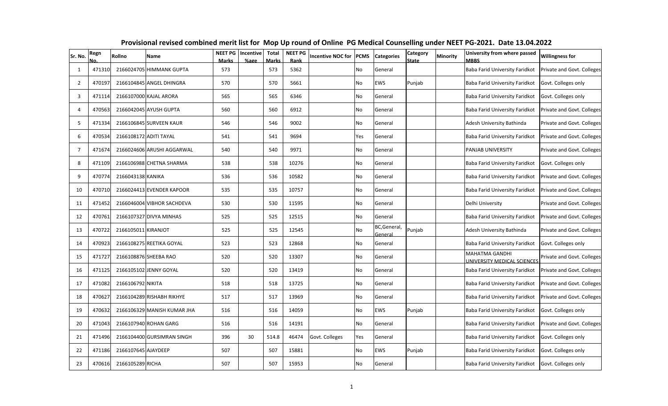| Sr. No.        | Regn<br>No. | Rollno                 | Name                        | <b>NEET PG</b><br><b>Marks</b> | Incentive<br>%age | <b>Total</b><br><b>Marks</b> | <b>NEET PG</b><br>Rank | Incentive NOC for | <b>PCMS</b> | <b>Categories</b>       | <b>Category</b><br><b>State</b> | Minority | University from where passed<br><b>MBBS</b>   | <b>Willingness for</b>     |
|----------------|-------------|------------------------|-----------------------------|--------------------------------|-------------------|------------------------------|------------------------|-------------------|-------------|-------------------------|---------------------------------|----------|-----------------------------------------------|----------------------------|
| 1              | 471310      |                        | 2166024705 HIMMANK GUPTA    | 573                            |                   | 573                          | 5362                   |                   | <b>No</b>   | General                 |                                 |          | Baba Farid University Faridkot                | Private and Govt. Colleges |
| $\overline{2}$ | 470197      |                        | 2166104845 ANGEL DHINGRA    | 570                            |                   | 570                          | 5661                   |                   | <b>No</b>   | <b>EWS</b>              | Punjab                          |          | Baba Farid University Faridkot                | Govt. Colleges only        |
| 3              | 471114      |                        | 2166107000 KAJAL ARORA      | 565                            |                   | 565                          | 6346                   |                   | No          | General                 |                                 |          | Baba Farid University Faridkot                | Govt. Colleges only        |
| 4              | 470563      |                        | 2166042045 AYUSH GUPTA      | 560                            |                   | 560                          | 6912                   |                   | No          | General                 |                                 |          | Baba Farid University Faridkot                | Private and Govt. Colleges |
| 5              | 471334      |                        | 2166106845 SURVEEN KAUR     | 546                            |                   | 546                          | 9002                   |                   | No          | General                 |                                 |          | Adesh University Bathinda                     | Private and Govt. Colleges |
| 6              | 470534      | 2166108172 ADITI TAYAL |                             | 541                            |                   | 541                          | 9694                   |                   | Yes         | General                 |                                 |          | Baba Farid University Faridkot                | Private and Govt. Colleges |
| $\overline{7}$ | 471674      |                        | 2166024606 ARUSHI AGGARWAL  | 540                            |                   | 540                          | 9971                   |                   | No          | General                 |                                 |          | PANJAB UNIVERSITY                             | Private and Govt. Colleges |
| 8              | 471109      |                        | 2166106988 CHETNA SHARMA    | 538                            |                   | 538                          | 10276                  |                   | No          | General                 |                                 |          | Baba Farid University Faridkot                | Govt. Colleges only        |
| 9              | 470774      | 2166043138 KANIKA      |                             | 536                            |                   | 536                          | 10582                  |                   | <b>No</b>   | General                 |                                 |          | Baba Farid University Faridkot                | Private and Govt. Colleges |
| 10             | 470710      |                        | 2166024413 EVENDER KAPOOR   | 535                            |                   | 535                          | 10757                  |                   | No          | General                 |                                 |          | Baba Farid University Faridkot                | Private and Govt. Colleges |
| 11             | 471452      |                        | 2166046004 VIBHOR SACHDEVA  | 530                            |                   | 530                          | 11595                  |                   | No          | General                 |                                 |          | Delhi University                              | Private and Govt. Colleges |
| 12             | 470761      |                        | 2166107327 DIVYA MINHAS     | 525                            |                   | 525                          | 12515                  |                   | No          | General                 |                                 |          | Baba Farid University Faridkot                | Private and Govt. Colleges |
| 13             | 470722      | 2166105011 KIRANJOT    |                             | 525                            |                   | 525                          | 12545                  |                   | No          | BC, General,<br>General | Punjab                          |          | Adesh University Bathinda                     | Private and Govt. Colleges |
| 14             | 470923      |                        | 2166108275 REETIKA GOYAL    | 523                            |                   | 523                          | 12868                  |                   | No          | General                 |                                 |          | Baba Farid University Faridkot                | Govt. Colleges only        |
| 15             | 471727      |                        | 2166108876 SHEEBA RAO       | 520                            |                   | 520                          | 13307                  |                   | No          | General                 |                                 |          | MAHATMA GANDHI<br>UNIVERSITY MEDICAL SCIENCES | Private and Govt. Colleges |
| 16             | 471125      |                        | 2166105102 JENNY GOYAL      | 520                            |                   | 520                          | 13419                  |                   | No          | General                 |                                 |          | Baba Farid University Faridkot                | Private and Govt. Colleges |
| 17             | 471082      | 2166106792 NIKITA      |                             | 518                            |                   | 518                          | 13725                  |                   | No          | General                 |                                 |          | Baba Farid University Faridkot                | Private and Govt. Colleges |
| 18             | 470627      |                        | 2166104289 RISHABH RIKHYE   | 517                            |                   | 517                          | 13969                  |                   | No          | General                 |                                 |          | Baba Farid University Faridkot                | Private and Govt. Colleges |
| 19             | 470632      |                        | 2166106329 MANISH KUMAR JHA | 516                            |                   | 516                          | 14059                  |                   | No          | EWS                     | Punjab                          |          | Baba Farid University Faridkot                | Govt. Colleges only        |
| 20             | 471043      |                        | 2166107940 ROHAN GARG       | 516                            |                   | 516                          | 14191                  |                   | No          | General                 |                                 |          | Baba Farid University Faridkot                | Private and Govt. Colleges |
| 21             | 471496      |                        | 2166104400 GURSIMRAN SINGH  | 396                            | 30                | 514.8                        | 46474                  | Govt. Colleges    | Yes         | General                 |                                 |          | Baba Farid University Faridkot                | Govt. Colleges only        |
| 22             | 471186      | 2166107645 AJAYDEEP    |                             | 507                            |                   | 507                          | 15881                  |                   | No          | EWS                     | Punjab                          |          | Baba Farid University Faridkot                | Govt. Colleges only        |
| 23             | 470616      | 2166105289 RICHA       |                             | 507                            |                   | 507                          | 15953                  |                   | No          | General                 |                                 |          | Baba Farid University Faridkot                | Govt. Colleges only        |

## **Provisional revised combined merit list for Mop Up round of Online PG Medical Counselling under NEET PG-2021. Date 13.04.2022**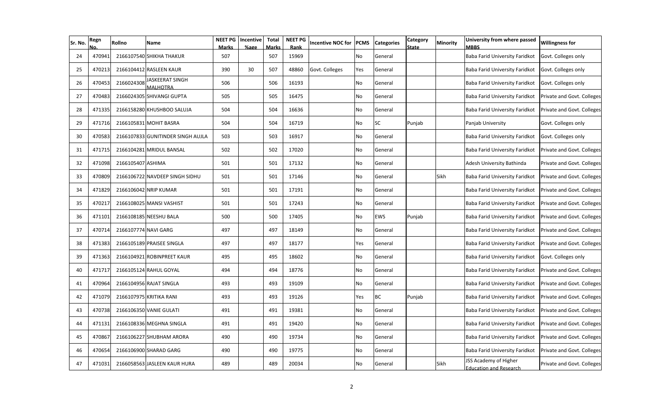| Sr. No. | Regn   | Rollno               | Name                               | <b>NEET PG</b><br><b>Marks</b> | Incentive<br>%age | <b>Total</b><br><b>Marks</b> | <b>NEET PG</b><br>Rank | <b>Incentive NOC for</b> | <b>PCMS</b> | <b>Categories</b> | Category<br><b>State</b> | Minority | University from where passed<br><b>MBBS</b>     | <b>Willingness for</b>     |
|---------|--------|----------------------|------------------------------------|--------------------------------|-------------------|------------------------------|------------------------|--------------------------|-------------|-------------------|--------------------------|----------|-------------------------------------------------|----------------------------|
| 24      | 470941 |                      | 2166107540 SHIKHA THAKUR           | 507                            |                   | 507                          | 15969                  |                          | No          | General           |                          |          | Baba Farid University Faridkot                  | Govt. Colleges only        |
| 25      | 470213 |                      | 2166104412 RASLEEN KAUR            | 390                            | 30                | 507                          | 48860                  | Govt. Colleges           | Yes         | General           |                          |          | Baba Farid University Faridkot                  | Govt. Colleges only        |
| 26      | 470453 | 2166024308           | JASKEERAT SINGH<br><b>MALHOTRA</b> | 506                            |                   | 506                          | 16193                  |                          | No          | General           |                          |          | Baba Farid University Faridkot                  | Govt. Colleges only        |
| 27      | 470483 |                      | 2166024305 SHIVANGI GUPTA          | 505                            |                   | 505                          | 16475                  |                          | No          | General           |                          |          | Baba Farid University Faridkot                  | Private and Govt. Colleges |
| 28      | 471335 |                      | 2166158280 KHUSHBOO SALUJA         | 504                            |                   | 504                          | 16636                  |                          | No          | General           |                          |          | Baba Farid University Faridkot                  | Private and Govt. Colleges |
| 29      | 471716 |                      | 2166105831 MOHIT BASRA             | 504                            |                   | 504                          | 16719                  |                          | No          | <b>SC</b>         | Punjab                   |          | Panjab University                               | Govt. Colleges only        |
| 30      | 470583 |                      | 2166107833 GUNITINDER SINGH AUJLA  | 503                            |                   | 503                          | 16917                  |                          | No          | General           |                          |          | Baba Farid University Faridkot                  | Govt. Colleges only        |
| 31      | 471715 |                      | 2166104281 MRIDUL BANSAL           | 502                            |                   | 502                          | 17020                  |                          | No          | General           |                          |          | Baba Farid University Faridkot                  | Private and Govt. Colleges |
| 32      | 471098 | 2166105407 ASHIMA    |                                    | 501                            |                   | 501                          | 17132                  |                          | No          | General           |                          |          | Adesh University Bathinda                       | Private and Govt. Colleges |
| 33      | 470809 |                      | 2166106722 NAVDEEP SINGH SIDHU     | 501                            |                   | 501                          | 17146                  |                          | No          | General           |                          | Sikh     | Baba Farid University Faridkot                  | Private and Govt. Colleges |
| 34      | 471829 |                      | 2166106042 NRIP KUMAR              | 501                            |                   | 501                          | 17191                  |                          | No          | General           |                          |          | Baba Farid University Faridkot                  | Private and Govt. Colleges |
| 35      | 470217 |                      | 2166108025 MANSI VASHIST           | 501                            |                   | 501                          | 17243                  |                          | No          | General           |                          |          | Baba Farid University Faridkot                  | Private and Govt. Colleges |
| 36      | 471101 |                      | 2166108185 NEESHU BALA             | 500                            |                   | 500                          | 17405                  |                          | No          | EWS               | Punjab                   |          | Baba Farid University Faridkot                  | Private and Govt. Colleges |
| 37      | 470714 | 2166107774 NAVI GARG |                                    | 497                            |                   | 497                          | 18149                  |                          | No          | General           |                          |          | Baba Farid University Faridkot                  | Private and Govt. Colleges |
| 38      | 471383 |                      | 2166105189 PRAISEE SINGLA          | 497                            |                   | 497                          | 18177                  |                          | Yes         | General           |                          |          | Baba Farid University Faridkot                  | Private and Govt. Colleges |
| 39      | 471363 |                      | 2166104921 ROBINPREET KAUR         | 495                            |                   | 495                          | 18602                  |                          | No          | General           |                          |          | Baba Farid University Faridkot                  | Govt. Colleges only        |
| 40      | 471717 |                      | 2166105124 RAHUL GOYAL             | 494                            |                   | 494                          | 18776                  |                          | No          | General           |                          |          | Baba Farid University Faridkot                  | Private and Govt. Colleges |
| 41      | 470964 |                      | 2166104956 RAJAT SINGLA            | 493                            |                   | 493                          | 19109                  |                          | No          | General           |                          |          | Baba Farid University Faridkot                  | Private and Govt. Colleges |
| 42      | 471079 |                      | 2166107975 KRITIKA RANI            | 493                            |                   | 493                          | 19126                  |                          | Yes         | <b>BC</b>         | Punjab                   |          | Baba Farid University Faridkot                  | Private and Govt. Colleges |
| 43      | 470738 |                      | 2166106350 VANIE GULATI            | 491                            |                   | 491                          | 19381                  |                          | No          | General           |                          |          | Baba Farid University Faridkot                  | Private and Govt. Colleges |
| 44      | 471131 |                      | 2166108336 MEGHNA SINGLA           | 491                            |                   | 491                          | 19420                  |                          | No          | General           |                          |          | Baba Farid University Faridkot                  | Private and Govt. Colleges |
| 45      | 470867 |                      | 2166106227 SHUBHAM ARORA           | 490                            |                   | 490                          | 19734                  |                          | No          | General           |                          |          | Baba Farid University Faridkot                  | Private and Govt. Colleges |
| 46      | 470654 |                      | 2166106900 SHARAD GARG             | 490                            |                   | 490                          | 19775                  |                          | No          | General           |                          |          | Baba Farid University Faridkot                  | Private and Govt. Colleges |
| 47      | 471031 |                      | 2166058563 JASLEEN KAUR HURA       | 489                            |                   | 489                          | 20034                  |                          | No          | General           |                          | Sikh     | JSS Academy of Higher<br>Education and Research | Private and Govt. Colleges |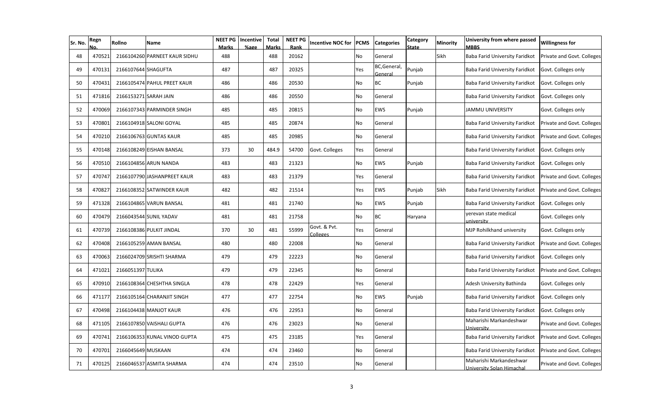| Sr. No. | Regn   | Rollno                | Name                          | <b>NEET PG</b><br>Marks | Incentive<br>%age | <b>Total</b><br><b>Marks</b> | <b>NEET PG</b><br>Rank | <b>Incentive NOC for</b> | <b>PCMS</b> | <b>Categories</b>       | Category<br>State | Minority | University from where passed<br><b>MBBS</b>          | <b>Willingness for</b>     |
|---------|--------|-----------------------|-------------------------------|-------------------------|-------------------|------------------------------|------------------------|--------------------------|-------------|-------------------------|-------------------|----------|------------------------------------------------------|----------------------------|
| 48      | 470521 |                       | 2166104260 PARNEET KAUR SIDHU | 488                     |                   | 488                          | 20162                  |                          | No          | General                 |                   | Sikh     | Baba Farid University Faridkot                       | Private and Govt. Colleges |
| 49      | 470131 | 2166107644 SHAGUFTA   |                               | 487                     |                   | 487                          | 20325                  |                          | Yes         | BC, General,<br>General | Punjab            |          | Baba Farid University Faridkot                       | Govt. Colleges only        |
| 50      | 470431 |                       | 2166105474 PAHUL PREET KAUR   | 486                     |                   | 486                          | 20530                  |                          | No          | <b>BC</b>               | Punjab            |          | Baba Farid University Faridkot                       | Govt. Colleges only        |
| 51      | 471816 | 2166153271 SARAH JAIN |                               | 486                     |                   | 486                          | 20550                  |                          | No          | General                 |                   |          | Baba Farid University Faridkot                       | Govt. Colleges only        |
| 52      | 470069 |                       | 2166107343 PARMINDER SINGH    | 485                     |                   | 485                          | 20815                  |                          | No          | <b>EWS</b>              | Punjab            |          | <b>JAMMU UNIVERSITY</b>                              | Govt. Colleges only        |
| 53      | 470801 |                       | 2166104918 SALONI GOYAL       | 485                     |                   | 485                          | 20874                  |                          | No          | General                 |                   |          | Baba Farid University Faridkot                       | Private and Govt. Colleges |
| 54      | 470210 |                       | 2166106763 GUNTAS KAUR        | 485                     |                   | 485                          | 20985                  |                          | No          | General                 |                   |          | Baba Farid University Faridkot                       | Private and Govt. Colleges |
| 55      | 470148 |                       | 2166108249 EISHAN BANSAL      | 373                     | 30                | 484.9                        | 54700                  | Govt. Colleges           | Yes         | General                 |                   |          | Baba Farid University Faridkot                       | Govt. Colleges only        |
| 56      | 470510 |                       | 2166104856 ARUN NANDA         | 483                     |                   | 483                          | 21323                  |                          | No          | EWS                     | Punjab            |          | Baba Farid University Faridkot                       | Govt. Colleges only        |
| 57      | 470747 |                       | 2166107790 JASHANPREET KAUR   | 483                     |                   | 483                          | 21379                  |                          | Yes         | General                 |                   |          | Baba Farid University Faridkot                       | Private and Govt. Colleges |
| 58      | 470827 |                       | 2166108352 SATWINDER KAUR     | 482                     |                   | 482                          | 21514                  |                          | Yes         | EWS                     | Punjab            | Sikh     | Baba Farid University Faridkot                       | Private and Govt. Colleges |
| 59      | 471328 |                       | 2166104865 VARUN BANSAL       | 481                     |                   | 481                          | 21740                  |                          | No          | EWS                     | Punjab            |          | Baba Farid University Faridkot                       | Govt. Colleges only        |
| 60      | 470479 |                       | 2166043544 SUNIL YADAV        | 481                     |                   | 481                          | 21758                  |                          | No          | <b>BC</b>               | Haryana           |          | yerevan state medical<br>university                  | Govt. Colleges only        |
| 61      | 470739 |                       | 2166108386 PULKIT JINDAL      | 370                     | 30                | 481                          | 55999                  | Govt. & Pvt.<br>Colleges | Yes         | General                 |                   |          | MJP Rohilkhand university                            | Govt. Colleges only        |
| 62      | 470408 |                       | 2166105259 AMAN BANSAL        | 480                     |                   | 480                          | 22008                  |                          | No          | General                 |                   |          | Baba Farid University Faridkot                       | Private and Govt. Colleges |
| 63      | 470063 |                       | 2166024709 SRISHTI SHARMA     | 479                     |                   | 479                          | 22223                  |                          | No          | General                 |                   |          | Baba Farid University Faridkot                       | Govt. Colleges only        |
| 64      | 471021 | 2166051397 TULIKA     |                               | 479                     |                   | 479                          | 22345                  |                          | No          | General                 |                   |          | <b>Baba Farid University Faridkot</b>                | Private and Govt. Colleges |
| 65      | 470910 |                       | 2166108364 CHESHTHA SINGLA    | 478                     |                   | 478                          | 22429                  |                          | Yes         | General                 |                   |          | Adesh University Bathinda                            | Govt. Colleges only        |
| 66      | 471177 |                       | 2166105164 CHARANJIT SINGH    | 477                     |                   | 477                          | 22754                  |                          | No          | <b>EWS</b>              | Punjab            |          | Baba Farid University Faridkot                       | Govt. Colleges only        |
| 67      | 470498 |                       | 2166104438 MANJOT KAUR        | 476                     |                   | 476                          | 22953                  |                          | No          | General                 |                   |          | Baba Farid University Faridkot                       | Govt. Colleges only        |
| 68      | 471105 |                       | 2166107850 VAISHALI GUPTA     | 476                     |                   | 476                          | 23023                  |                          | No          | General                 |                   |          | Maharishi Markandeshwar<br>University                | Private and Govt. Colleges |
| 69      | 470741 |                       | 2166106353 KUNAL VINOD GUPTA  | 475                     |                   | 475                          | 23185                  |                          | Yes         | General                 |                   |          | Baba Farid University Faridkot                       | Private and Govt. Colleges |
| 70      | 470701 | 2166045649 MUSKAAN    |                               | 474                     |                   | 474                          | 23460                  |                          | No          | General                 |                   |          | Baba Farid University Faridkot                       | Private and Govt. Colleges |
| 71      | 470125 |                       | 2166046537 ASMITA SHARMA      | 474                     |                   | 474                          | 23510                  |                          | No          | General                 |                   |          | Maharishi Markandeshwar<br>University Solan Himachal | Private and Govt. Colleges |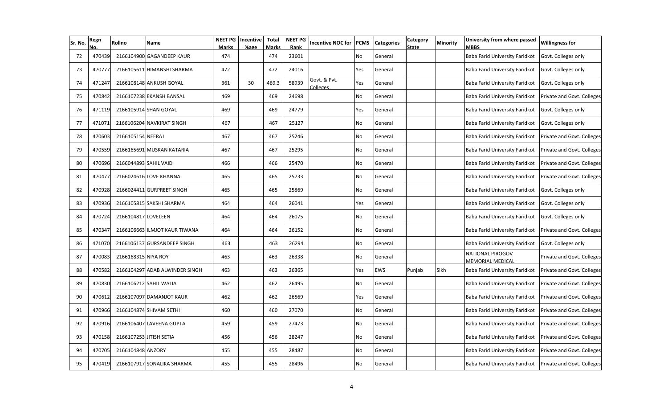| Sr. No. | Regn   | Rollno                  | Name                           | NEET PG<br><b>Marks</b> | Incentive<br>%age | Total<br>Marks | <b>NEET PG</b><br>Rank | <b>Incentive NOC for</b> | <b>PCMS</b> | <b>Categories</b> | Category<br><b>State</b> | <b>Minority</b> | University from where passed<br><b>MBBS</b>        | <b>Willingness for</b>     |
|---------|--------|-------------------------|--------------------------------|-------------------------|-------------------|----------------|------------------------|--------------------------|-------------|-------------------|--------------------------|-----------------|----------------------------------------------------|----------------------------|
| 72      | 470439 |                         | 2166104900 GAGANDEEP KAUR      | 474                     |                   | 474            | 23601                  |                          | No          | General           |                          |                 | Baba Farid University Faridkot                     | Govt. Colleges only        |
| 73      | 470777 |                         | 2166105611 HIMANSHI SHARMA     | 472                     |                   | 472            | 24016                  |                          | Yes         | General           |                          |                 | Baba Farid University Faridkot                     | Govt. Colleges only        |
| 74      | 471247 |                         | 2166108148 ANKUSH GOYAL        | 361                     | 30                | 469.3          | 58939                  | Govt. & Pvt.<br>Colleges | Yes         | General           |                          |                 | Baba Farid University Faridkot                     | Govt. Colleges only        |
| 75      | 470842 |                         | 2166107238 EKANSH BANSAL       | 469                     |                   | 469            | 24698                  |                          | No          | General           |                          |                 | Baba Farid University Faridkot                     | Private and Govt. Colleges |
| 76      | 471119 |                         | 2166105914 SHAN GOYAL          | 469                     |                   | 469            | 24779                  |                          | Yes         | General           |                          |                 | Baba Farid University Faridkot                     | Govt. Colleges only        |
| 77      | 471071 |                         | 2166106204 NAVKIRAT SINGH      | 467                     |                   | 467            | 25127                  |                          | No          | General           |                          |                 | Baba Farid University Faridkot                     | Govt. Colleges only        |
| 78      | 470603 | 2166105154 NEERAJ       |                                | 467                     |                   | 467            | 25246                  |                          | No          | General           |                          |                 | Baba Farid University Faridkot                     | Private and Govt. Colleges |
| 79      | 470559 |                         | 2166165691 MUSKAN KATARIA      | 467                     |                   | 467            | 25295                  |                          | No          | General           |                          |                 | Baba Farid University Faridkot                     | Private and Govt. Colleges |
| 80      | 470696 | 2166044893 SAHIL VAID   |                                | 466                     |                   | 466            | 25470                  |                          | <b>No</b>   | General           |                          |                 | Baba Farid University Faridkot                     | Private and Govt. Colleges |
| 81      | 470477 |                         | 2166024616 LOVE KHANNA         | 465                     |                   | 465            | 25733                  |                          | <b>No</b>   | General           |                          |                 | Baba Farid University Faridkot                     | Private and Govt. Colleges |
| 82      | 470928 |                         | 2166024411 GURPREET SINGH      | 465                     |                   | 465            | 25869                  |                          | <b>No</b>   | General           |                          |                 | Baba Farid University Faridkot                     | Govt. Colleges only        |
| 83      | 470936 |                         | 2166105815 SAKSHI SHARMA       | 464                     |                   | 464            | 26041                  |                          | Yes         | General           |                          |                 | Baba Farid University Faridkot                     | Govt. Colleges only        |
| 84      | 470724 | 2166104817 LOVELEEN     |                                | 464                     |                   | 464            | 26075                  |                          | No          | General           |                          |                 | Baba Farid University Faridkot                     | Govt. Colleges only        |
| 85      | 470347 |                         | 2166106663 ILMJOT KAUR TIWANA  | 464                     |                   | 464            | 26152                  |                          | No          | General           |                          |                 | Baba Farid University Faridkot                     | Private and Govt. Colleges |
| 86      | 471070 |                         | 2166106137 GURSANDEEP SINGH    | 463                     |                   | 463            | 26294                  |                          | No          | General           |                          |                 | Baba Farid University Faridkot                     | Govt. Colleges only        |
| 87      | 470083 | 2166168315 NIYA ROY     |                                | 463                     |                   | 463            | 26338                  |                          | No          | General           |                          |                 | <b>NATIONAL PIROGOV</b><br><b>MEMORIAL MEDICAL</b> | Private and Govt. Colleges |
| 88      | 470582 |                         | 2166104297 ADAB ALWINDER SINGH | 463                     |                   | 463            | 26365                  |                          | Yes         | EWS               | Punjab                   | Sikh            | Baba Farid University Faridkot                     | Private and Govt. Colleges |
| 89      | 470830 |                         | 2166106212 SAHIL WALIA         | 462                     |                   | 462            | 26495                  |                          | No          | General           |                          |                 | Baba Farid University Faridkot                     | Private and Govt. Colleges |
| 90      | 470612 |                         | 2166107097 DAMANJOT KAUR       | 462                     |                   | 462            | 26569                  |                          | Yes         | General           |                          |                 | Baba Farid University Faridkot                     | Private and Govt. Colleges |
| 91      | 470966 |                         | 2166104874 SHIVAM SETHI        | 460                     |                   | 460            | 27070                  |                          | No          | General           |                          |                 | Baba Farid University Faridkot                     | Private and Govt. Colleges |
| 92      | 470916 |                         | 2166106407 LAVEENA GUPTA       | 459                     |                   | 459            | 27473                  |                          | No          | General           |                          |                 | Baba Farid University Faridkot                     | Private and Govt. Colleges |
| 93      | 470158 | 2166107253 JITISH SETIA |                                | 456                     |                   | 456            | 28247                  |                          | No          | General           |                          |                 | Baba Farid University Faridkot                     | Private and Govt. Colleges |
| 94      | 470705 | 2166104848 ANZORY       |                                | 455                     |                   | 455            | 28487                  |                          | No          | General           |                          |                 | Baba Farid University Faridkot                     | Private and Govt. Colleges |
| 95      | 470419 |                         | 2166107917 SONALIKA SHARMA     | 455                     |                   | 455            | 28496                  |                          | No          | General           |                          |                 | Baba Farid University Faridkot                     | Private and Govt. Colleges |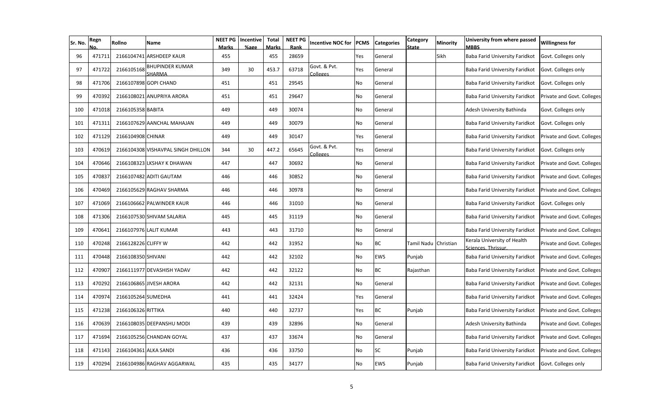| Sr. No. | Regn   | Rollno                | Name                               | <b>NEET PG</b><br><b>Marks</b> | Incentive<br>%age | <b>Total</b><br><b>Marks</b> | <b>NEET PG</b><br>Rank | <b>Incentive NOC for</b>  | <b>PCMS</b> | <b>Categories</b> | Category<br>State | Minority  | University from where passed<br><b>MBBS</b>        | <b>Willingness for</b>     |
|---------|--------|-----------------------|------------------------------------|--------------------------------|-------------------|------------------------------|------------------------|---------------------------|-------------|-------------------|-------------------|-----------|----------------------------------------------------|----------------------------|
| 96      | 471711 |                       | 2166104741 ARSHDEEP KAUR           | 455                            |                   | 455                          | 28659                  |                           | Yes         | General           |                   | Sikh      | <b>Baba Farid University Faridkot</b>              | Govt. Colleges only        |
| 97      | 471722 | 2166105168            | BHUPINDER KUMAR<br>SHARMA          | 349                            | 30                | 453.7                        | 63718                  | Govt. & Pvt.<br>Colleges  | Yes         | General           |                   |           | Baba Farid University Faridkot                     | Govt. Colleges only        |
| 98      | 471706 |                       | 2166107898 GOPI CHAND              | 451                            |                   | 451                          | 29545                  |                           | No          | General           |                   |           | Baba Farid University Faridkot                     | Govt. Colleges only        |
| 99      | 470392 |                       | 2166108021 ANUPRIYA ARORA          | 451                            |                   | 451                          | 29647                  |                           | No          | General           |                   |           | Baba Farid University Faridkot                     | Private and Govt. Colleges |
| 100     | 471018 | 2166105358 BABITA     |                                    | 449                            |                   | 449                          | 30074                  |                           | No          | General           |                   |           | Adesh University Bathinda                          | Govt. Colleges only        |
| 101     | 471311 |                       | 2166107629 AANCHAL MAHAJAN         | 449                            |                   | 449                          | 30079                  |                           | No          | General           |                   |           | Baba Farid University Faridkot                     | Govt. Colleges only        |
| 102     | 471129 | 2166104908 CHINAR     |                                    | 449                            |                   | 449                          | 30147                  |                           | Yes         | General           |                   |           | Baba Farid University Faridkot                     | Private and Govt. Colleges |
| 103     | 470619 |                       | 2166104308 VISHAVPAL SINGH DHILLON | 344                            | 30                | 447.2                        | 65645                  | Govt. & Pvt.<br>colleges. | Yes         | General           |                   |           | Baba Farid University Faridkot                     | Govt. Colleges only        |
| 104     | 470646 |                       | 2166108323 LKSHAY K DHAWAN         | 447                            |                   | 447                          | 30692                  |                           | No          | General           |                   |           | Baba Farid University Faridkot                     | Private and Govt. Colleges |
| 105     | 470837 |                       | 2166107482 ADITI GAUTAM            | 446                            |                   | 446                          | 30852                  |                           | No          | General           |                   |           | Baba Farid University Faridkot                     | Private and Govt. Colleges |
| 106     | 470469 |                       | 2166105629 RAGHAV SHARMA           | 446                            |                   | 446                          | 30978                  |                           | No          | General           |                   |           | <b>Baba Farid University Faridkot</b>              | Private and Govt. Colleges |
| 107     | 471069 |                       | 2166106662 PALWINDER KAUR          | 446                            |                   | 446                          | 31010                  |                           | No          | General           |                   |           | Baba Farid University Faridkot                     | Govt. Colleges only        |
| 108     | 471306 |                       | 2166107530 SHIVAM SALARIA          | 445                            |                   | 445                          | 31119                  |                           | No          | General           |                   |           | <b>Baba Farid University Faridkot</b>              | Private and Govt. Colleges |
| 109     | 470641 |                       | 2166107976 LALIT KUMAR             | 443                            |                   | 443                          | 31710                  |                           | No          | General           |                   |           | Baba Farid University Faridkot                     | Private and Govt. Colleges |
| 110     | 470248 | 2166128226 CLIFFY W   |                                    | 442                            |                   | 442                          | 31952                  |                           | No          | <b>BC</b>         | Tamil Nadu        | Christian | Kerala University of Health<br>Sciences, Thrissur. | Private and Govt. Colleges |
| 111     | 470448 | 2166108350 SHIVANI    |                                    | 442                            |                   | 442                          | 32102                  |                           | No          | <b>EWS</b>        | Punjab            |           | Baba Farid University Faridkot                     | Private and Govt. Colleges |
| 112     | 470907 |                       | 2166111977 DEVASHISH YADAV         | 442                            |                   | 442                          | 32122                  |                           | No          | <b>BC</b>         | Rajasthan         |           | Baba Farid University Faridkot                     | Private and Govt. Colleges |
| 113     | 470292 |                       | 2166106865 JIVESH ARORA            | 442                            |                   | 442                          | 32131                  |                           | No          | General           |                   |           | Baba Farid University Faridkot                     | Private and Govt. Colleges |
| 114     | 470974 | 2166105264 SUMEDHA    |                                    | 441                            |                   | 441                          | 32424                  |                           | Yes         | General           |                   |           | Baba Farid University Faridkot                     | Private and Govt. Colleges |
| 115     | 471238 | 2166106326 RITTIKA    |                                    | 440                            |                   | 440                          | 32737                  |                           | Yes         | <b>BC</b>         | Punjab            |           | Baba Farid University Faridkot                     | Private and Govt. Colleges |
| 116     | 470639 |                       | 2166108035 DEEPANSHU MODI          | 439                            |                   | 439                          | 32896                  |                           | No          | General           |                   |           | Adesh University Bathinda                          | Private and Govt. Colleges |
| 117     | 471694 |                       | 2166105256 CHANDAN GOYAL           | 437                            |                   | 437                          | 33674                  |                           | No          | General           |                   |           | Baba Farid University Faridkot                     | Private and Govt. Colleges |
| 118     | 471143 | 2166104361 ALKA SANDI |                                    | 436                            |                   | 436                          | 33750                  |                           | No          | <b>SC</b>         | Punjab            |           | Baba Farid University Faridkot                     | Private and Govt. Colleges |
| 119     | 470294 |                       | 2166104986 RAGHAV AGGARWAL         | 435                            |                   | 435                          | 34177                  |                           | No          | <b>EWS</b>        | Punjab            |           | Baba Farid University Faridkot                     | Govt. Colleges only        |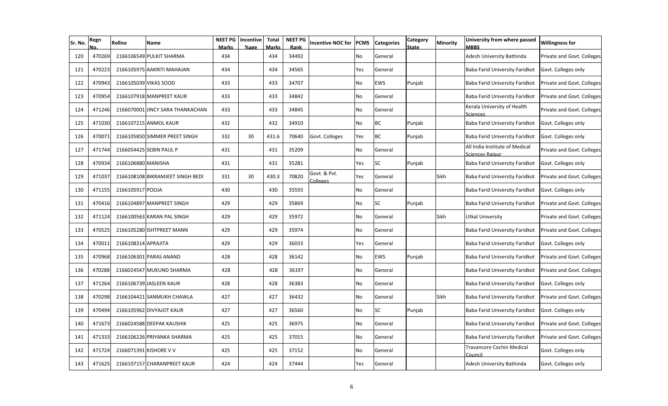| Sr. No. | Regn   | Rollno              | Name                             | <b>NEET PG</b><br>Marks | Incentive<br>%age | <b>Total</b><br><b>Marks</b> | <b>NEET PG</b><br>Rank | <b>Incentive NOC for</b> | PCMS | <b>Categories</b> | Category<br>State | Minority | University from where passed<br><b>MBBS</b>       | <b>Willingness for</b>     |
|---------|--------|---------------------|----------------------------------|-------------------------|-------------------|------------------------------|------------------------|--------------------------|------|-------------------|-------------------|----------|---------------------------------------------------|----------------------------|
| 120     | 470269 |                     | 2166106549 PULKIT SHARMA         | 434                     |                   | 434                          | 34492                  |                          | No   | General           |                   |          | Adesh University Bathinda                         | Private and Govt. Colleges |
| 121     | 470223 |                     | 2166105975 AAKRITI MAHAJAN       | 434                     |                   | 434                          | 34565                  |                          | Yes  | General           |                   |          | Baba Farid University Faridkot                    | Govt. Colleges only        |
| 122     | 470943 |                     | 2166105039 VIKAS SOOD            | 433                     |                   | 433                          | 34707                  |                          | No   | EWS               | Punjab            |          | Baba Farid University Faridkot                    | Private and Govt. Colleges |
| 123     | 470954 |                     | 2166107918 MANPREET KAUR         | 433                     |                   | 433                          | 34842                  |                          | No   | General           |                   |          | Baba Farid University Faridkot                    | Private and Govt. Colleges |
| 124     | 471246 |                     | 2166070001 JINCY SARA THANKACHAN | 433                     |                   | 433                          | 34845                  |                          | No   | General           |                   |          | Kerala University of Health<br>Sciences           | Private and Govt. Colleges |
| 125     | 471030 |                     | 2166107215 ANMOL KAUR            | 432                     |                   | 432                          | 34910                  |                          | No   | <b>BC</b>         | Punjab            |          | Baba Farid University Faridkot                    | Govt. Colleges only        |
| 126     | 470071 |                     | 2166105850 SIMMER PREET SINGH    | 332                     | 30                | 431.6                        | 70640                  | Govt. Colleges           | Yes  | <b>BC</b>         | Punjab            |          | Baba Farid University Faridkot                    | Govt. Colleges only        |
| 127     | 471744 |                     | 2166054425 SEBIN PAUL P          | 431                     |                   | 431                          | 35209                  |                          | No   | General           |                   |          | All India Institute of Medical<br>Sciences Raipur | Private and Govt. Colleges |
| 128     | 470934 | 2166106880 MANISHA  |                                  | 431                     |                   | 431                          | 35281                  |                          | Yes  | <b>SC</b>         | Punjab            |          | Baba Farid University Faridkot                    | Govt. Colleges only        |
| 129     | 471037 |                     | 2166108108 BIKRAMJEET SINGH BEDI | 331                     | 30                | 430.3                        | 70820                  | Govt. & Pvt.<br>Colleges | Yes  | General           |                   | Sikh     | Baba Farid University Faridkot                    | Private and Govt. Colleges |
| 130     | 471155 | 2166105917 POOJA    |                                  | 430                     |                   | 430                          | 35593                  |                          | No   | General           |                   |          | Baba Farid University Faridkot                    | Govt. Colleges only        |
| 131     | 470416 |                     | 2166104897 MANPREET SINGH        | 429                     |                   | 429                          | 35869                  |                          | No   | <b>SC</b>         | Punjab            |          | Baba Farid University Faridkot                    | Private and Govt. Colleges |
| 132     | 471124 |                     | 2166100563 KARAN PAL SINGH       | 429                     |                   | 429                          | 35972                  |                          | No   | General           |                   | Sikh     | <b>Utkal University</b>                           | Private and Govt. Colleges |
| 133     | 470525 |                     | 2166105280 ISHTPREET MANN        | 429                     |                   | 429                          | 35974                  |                          | No   | General           |                   |          | Baba Farid University Faridkot                    | Private and Govt. Colleges |
| 134     | 470011 | 2166108314 APRAJITA |                                  | 429                     |                   | 429                          | 36033                  |                          | Yes  | General           |                   |          | Baba Farid University Faridkot                    | Govt. Colleges only        |
| 135     | 470968 |                     | 2166106301 PARAS ANAND           | 428                     |                   | 428                          | 36142                  |                          | No   | EWS               | Punjab            |          | Baba Farid University Faridkot                    | Private and Govt. Colleges |
| 136     | 470288 |                     | 2166024547 MUKUND SHARMA         | 428                     |                   | 428                          | 36197                  |                          | No   | General           |                   |          | Baba Farid University Faridkot                    | Private and Govt. Colleges |
| 137     | 471264 |                     | 2166106739 JASLEEN KAUR          | 428                     |                   | 428                          | 36383                  |                          | No   | General           |                   |          | Baba Farid University Faridkot                    | Govt. Colleges only        |
| 138     | 470298 |                     | 2166104421 SANMUKH CHAWLA        | 427                     |                   | 427                          | 36432                  |                          | No   | General           |                   | Sikh     | Baba Farid University Faridkot                    | Private and Govt. Colleges |
| 139     | 470494 |                     | 2166105962 DIVYAJOT KAUR         | 427                     |                   | 427                          | 36560                  |                          | No   | <b>SC</b>         | Punjab            |          | Baba Farid University Faridkot                    | Govt. Colleges only        |
| 140     | 471673 |                     | 2166024588 DEEPAK KAUSHIK        | 425                     |                   | 425                          | 36975                  |                          | No   | General           |                   |          | Baba Farid University Faridkot                    | Private and Govt. Colleges |
| 141     | 471333 |                     | 2166106226 PRIYANKA SHARMA       | 425                     |                   | 425                          | 37015                  |                          | No   | General           |                   |          | Baba Farid University Faridkot                    | Private and Govt. Colleges |
| 142     | 471724 |                     | 2166071391 KISHORE V V           | 425                     |                   | 425                          | 37152                  |                          | No   | General           |                   |          | Travancore Cochin Medical<br>Counci               | Govt. Colleges only        |
| 143     | 471625 |                     | 2166107157 CHARANPREET KAUR      | 424                     |                   | 424                          | 37444                  |                          | Yes  | General           |                   |          | Adesh University Bathinda                         | Govt. Colleges only        |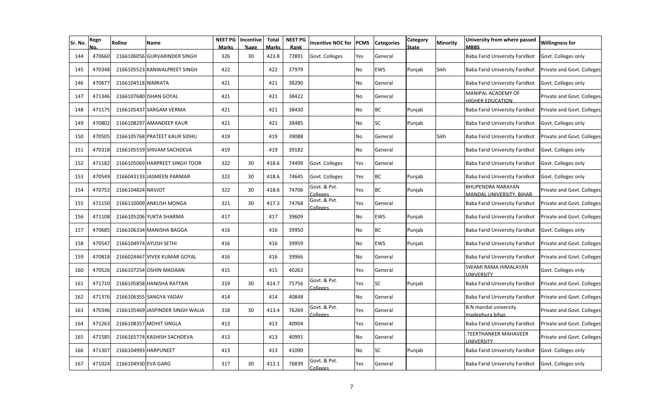| Sr. No. | Regn   | Rollno               | Name                             | <b>NEET PG</b><br><b>Marks</b> | Incentive<br>%age | <b>Total</b><br><b>Marks</b> | <b>NEET PG</b><br>Rank | <b>Incentive NOC for</b> | <b>PCMS</b> | <b>Categories</b> | Category<br>State | Minority    | University from where passed<br><b>MBBS</b>          | <b>Willingness for</b>     |
|---------|--------|----------------------|----------------------------------|--------------------------------|-------------------|------------------------------|------------------------|--------------------------|-------------|-------------------|-------------------|-------------|------------------------------------------------------|----------------------------|
| 144     | 470660 |                      | 2166106056 GURVARINDER SINGH     | 326                            | 30                | 423.8                        | 72891                  | Govt. Colleges           | Yes         | General           |                   |             | Baba Farid University Faridkot                       | Govt. Colleges only        |
| 145     | 470348 |                      | 2166105523 KANWALPREET SINGH     | 422                            |                   | 422                          | 37979                  |                          | No          | <b>EWS</b>        | Punjab            | <b>Sikh</b> | Baba Farid University Faridkot                       | Private and Govt. Colleges |
| 146     | 470677 | 2166104518 NIMRATA   |                                  | 421                            |                   | 421                          | 38290                  |                          | No          | General           |                   |             | Baba Farid University Faridkot                       | Govt. Colleges only        |
| 147     | 471346 |                      | 2166107680 ISHAN GOYAL           | 421                            |                   | 421                          | 38422                  |                          | No          | General           |                   |             | MANIPAL ACADEMY OF<br><b>HIGHER EDUCATION</b>        | Private and Govt. Colleges |
| 148     | 471175 |                      | 2166105437 SARGAM VERMA          | 421                            |                   | 421                          | 38430                  |                          | No          | <b>BC</b>         | Punjab            |             | Baba Farid University Faridkot                       | Private and Govt. Colleges |
| 149     | 470802 |                      | 2166108297 AMANDEEP KAUR         | 421                            |                   | 421                          | 38485                  |                          | No          | <b>SC</b>         | Punjab            |             | Baba Farid University Faridkot                       | Govt. Colleges only        |
| 150     | 470505 |                      | 2166105768 PRATEET KAUR SIDHU    | 419                            |                   | 419                          | 39088                  |                          | No          | General           |                   | Sikh        | Baba Farid University Faridkot                       | Private and Govt. Colleges |
| 151     | 470318 |                      | 2166105559 SHIVAM SACHDEVA       | 419                            |                   | 419                          | 39182                  |                          | No          | General           |                   |             | Baba Farid University Faridkot                       | Govt. Colleges only        |
| 152     | 471182 |                      | 2166105069 HARPREET SINGH TOOR   | 322                            | 30                | 418.6                        | 74499                  | Govt. Colleges           | Yes         | General           |                   |             | Baba Farid University Faridkot                       | Govt. Colleges only        |
| 153     | 470549 |                      | 2166043133 JASMEEN PARMAR        | 322                            | 30                | 418.6                        | 74645                  | Govt. Colleges           | Yes         | <b>BC</b>         | Punjab            |             | Baba Farid University Faridkot                       | Govt. Colleges only        |
| 154     | 470752 | 2166104824 NAVJOT    |                                  | 322                            | 30                | 418.6                        | 74706                  | Govt. & Pvt.<br>Colleges | Yes         | <b>BC</b>         | Punjab            |             | <b>BHUPENDRA NARAYAN</b><br>MANDAL UNIVERSITY, BIHAR | Private and Govt. Colleges |
| 155     | 471150 |                      | 2166110009 ANKUSH MONGA          | 321                            | 30                | 417.3                        | 74768                  | Govt. & Pvt.<br>Colleges | Yes         | General           |                   |             | Baba Farid University Faridkot                       | Private and Govt. Colleges |
| 156     | 471108 |                      | 2166105206 YUKTA SHARMA          | 417                            |                   | 417                          | 39609                  |                          | No          | EWS               | Punjab            |             | Baba Farid University Faridkot                       | Private and Govt. Colleges |
| 157     | 470685 |                      | 2166106334 MANISHA BAGGA         | 416                            |                   | 416                          | 39950                  |                          | No          | <b>BC</b>         | Punjab            |             | Baba Farid University Faridkot                       | Govt. Colleges only        |
| 158     | 470547 |                      | 2166104974 AYUSH SETHI           | 416                            |                   | 416                          | 39959                  |                          | No          | <b>EWS</b>        | Punjab            |             | Baba Farid University Faridkot                       | Private and Govt. Colleges |
| 159     | 470818 |                      | 2166024467 VIVEK KUMAR GOYAL     | 416                            |                   | 416                          | 39966                  |                          | No          | General           |                   |             | Baba Farid University Faridkot                       | Private and Govt. Colleges |
| 160     | 470526 |                      | 2166107254 OSHIN MADAAN          | 415                            |                   | 415                          | 40263                  |                          | Yes         | General           |                   |             | SWAMI RAMA HIMALAYAN<br><b>UNIVERSITY</b>            | Govt. Colleges only        |
| 161     | 471710 |                      | 2166105858 HANISHA RATTAN        | 319                            | 30                | 414.7                        | 75756                  | Govt. & Pvt.<br>Colleges | Yes         | <b>SC</b>         | Punjab            |             | Baba Farid University Faridkot                       | Private and Govt. Colleges |
| 162     | 471376 |                      | 2166106355 SANGYA YADAV          | 414                            |                   | 414                          | 40848                  |                          | No          | General           |                   |             | Baba Farid University Faridkot                       | Private and Govt. Colleges |
| 163     | 470346 |                      | 2166105469 JASPINDER SINGH WALIA | 318                            | 30                | 413.4                        | 76269                  | Govt. & Pvt.<br>Colleges | Yes         | General           |                   |             | <b>B.N</b> mandal university<br>madephura bihar.     | Private and Govt. Colleges |
| 164     | 471263 |                      | 2166108357 MOHIT SINGLA          | 413                            |                   | 413                          | 40904                  |                          | Yes         | General           |                   |             | Baba Farid University Faridkot                       | Private and Govt. Colleges |
| 165     | 471585 |                      | 2166165774 KASHISH SACHDEVA      | 413                            |                   | 413                          | 40991                  |                          | No          | General           |                   |             | TEERTHANKER MAHAVEER<br>UNIVERSITY                   | Private and Govt. Colleges |
| 166     | 471307 | 2166104993 HARPUNEET |                                  | 413                            |                   | 413                          | 41090                  |                          | No          | <b>SC</b>         | Punjab            |             | <b>Baba Farid University Faridkot</b>                | Govt. Colleges only        |
| 167     | 471024 | 2166104930 EVA GARG  |                                  | 317                            | 30                | 412.1                        | 76839                  | Govt. & Pvt.<br>Colleges | Yes         | General           |                   |             | Baba Farid University Faridkot                       | Govt. Colleges only        |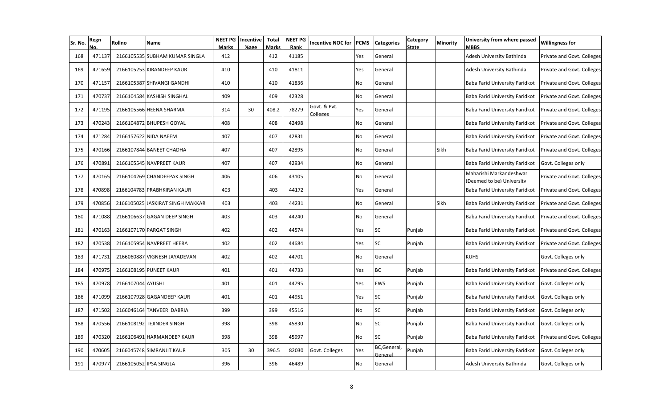| Sr. No. | Regn   | Rollno            | Name                             | <b>NEET PG</b><br><b>Marks</b> | Incentive<br>%age | <b>Total</b><br><b>Marks</b> | <b>NEET PG</b><br>Rank | <b>Incentive NOC for</b>        | <b>PCMS</b> | <b>Categories</b>       | Category<br><b>State</b> | Minority | University from where passed<br><b>MBBS</b>          | <b>Willingness for</b>     |
|---------|--------|-------------------|----------------------------------|--------------------------------|-------------------|------------------------------|------------------------|---------------------------------|-------------|-------------------------|--------------------------|----------|------------------------------------------------------|----------------------------|
| 168     | 471137 |                   | 2166105535 SUBHAM KUMAR SINGLA   | 412                            |                   | 412                          | 41185                  |                                 | Yes         | General                 |                          |          | Adesh University Bathinda                            | Private and Govt. Colleges |
| 169     | 471659 |                   | 2166105253 KIRANDEEP KAUR        | 410                            |                   | 410                          | 41811                  |                                 | Yes         | General                 |                          |          | Adesh University Bathinda                            | Private and Govt. Colleges |
| 170     | 471157 |                   | 2166105387 SHIVANGI GANDHI       | 410                            |                   | 410                          | 41836                  |                                 | No          | General                 |                          |          | Baba Farid University Faridkot                       | Private and Govt. Colleges |
| 171     | 470737 |                   | 2166104584 KASHISH SINGHAL       | 409                            |                   | 409                          | 42328                  |                                 | No          | General                 |                          |          | Baba Farid University Faridkot                       | Private and Govt. Colleges |
| 172     | 471195 |                   | 2166105566 HEENA SHARMA          | 314                            | 30                | 408.2                        | 78279                  | Govt. & Pvt.<br><b>Colleges</b> | Yes         | General                 |                          |          | Baba Farid University Faridkot                       | Private and Govt. Colleges |
| 173     | 470243 |                   | 2166104872 BHUPESH GOYAL         | 408                            |                   | 408                          | 42498                  |                                 | No          | General                 |                          |          | Baba Farid University Faridkot                       | Private and Govt. Colleges |
| 174     | 471284 |                   | 2166157622 NIDA NAEEM            | 407                            |                   | 407                          | 42831                  |                                 | No          | General                 |                          |          | Baba Farid University Faridkot                       | Private and Govt. Colleges |
| 175     | 470166 |                   | 2166107844 BANEET CHADHA         | 407                            |                   | 407                          | 42895                  |                                 | No          | General                 |                          | Sikh     | Baba Farid University Faridkot                       | Private and Govt. Colleges |
| 176     | 470891 |                   | 2166105545 NAVPREET KAUR         | 407                            |                   | 407                          | 42934                  |                                 | No          | General                 |                          |          | Baba Farid University Faridkot                       | Govt. Colleges only        |
| 177     | 470165 |                   | 2166104269 CHANDEEPAK SINGH      | 406                            |                   | 406                          | 43105                  |                                 | No          | General                 |                          |          | Maharishi Markandeshwar<br>(Deemed to be) University | Private and Govt. Colleges |
| 178     | 470898 |                   | 2166104783 PRABHKIRAN KAUR       | 403                            |                   | 403                          | 44172                  |                                 | Yes         | General                 |                          |          | Baba Farid University Faridkot                       | Private and Govt. Colleges |
| 179     | 470856 |                   | 2166105025 JASKIRAT SINGH MAKKAR | 403                            |                   | 403                          | 44231                  |                                 | No          | General                 |                          | Sikh     | Baba Farid University Faridkot                       | Private and Govt. Colleges |
| 180     | 471088 |                   | 2166106637 GAGAN DEEP SINGH      | 403                            |                   | 403                          | 44240                  |                                 | No          | General                 |                          |          | Baba Farid University Faridkot                       | Private and Govt. Colleges |
| 181     | 470163 |                   | 2166107170 PARGAT SINGH          | 402                            |                   | 402                          | 44574                  |                                 | Yes         | <b>SC</b>               | Punjab                   |          | Baba Farid University Faridkot                       | Private and Govt. Colleges |
| 182     | 470538 |                   | 2166105954 NAVPREET HEERA        | 402                            |                   | 402                          | 44684                  |                                 | Yes         | <b>SC</b>               | Punjab                   |          | Baba Farid University Faridkot                       | Private and Govt. Colleges |
| 183     | 471731 |                   | 2166060887 VIGNESH JAYADEVAN     | 402                            |                   | 402                          | 44701                  |                                 | No          | General                 |                          |          | <b>KUHS</b>                                          | Govt. Colleges only        |
| 184     | 470975 |                   | 2166108195 PUNEET KAUR           | 401                            |                   | 401                          | 44733                  |                                 | Yes         | <b>BC</b>               | Punjab                   |          | Baba Farid University Faridkot                       | Private and Govt. Colleges |
| 185     | 470978 | 2166107044 AYUSHI |                                  | 401                            |                   | 401                          | 44795                  |                                 | Yes         | EWS                     | Punjab                   |          | Baba Farid University Faridkot                       | Govt. Colleges only        |
| 186     | 471099 |                   | 2166107928 GAGANDEEP KAUR        | 401                            |                   | 401                          | 44951                  |                                 | Yes         | <b>SC</b>               | Punjab                   |          | Baba Farid University Faridkot                       | Govt. Colleges only        |
| 187     | 471502 |                   | 2166046164 TANVEER DABRIA        | 399                            |                   | 399                          | 45516                  |                                 | No          | <b>SC</b>               | Punjab                   |          | Baba Farid University Faridkot                       | Govt. Colleges only        |
| 188     | 470556 |                   | 2166108192 TEJINDER SINGH        | 398                            |                   | 398                          | 45830                  |                                 | No          | <b>SC</b>               | Punjab                   |          | Baba Farid University Faridkot                       | Govt. Colleges only        |
| 189     | 470320 |                   | 2166106491 HARMANDEEP KAUR       | 398                            |                   | 398                          | 45997                  |                                 | No          | <b>SC</b>               | Punjab                   |          | Baba Farid University Faridkot                       | Private and Govt. Colleges |
| 190     | 470605 |                   | 2166045748 SIMRANJIT KAUR        | 305                            | 30                | 396.5                        | 82030                  | Govt. Colleges                  | Yes         | BC, General,<br>General | Punjab                   |          | Baba Farid University Faridkot                       | Govt. Colleges only        |
| 191     | 470977 |                   | 2166105052 IPSA SINGLA           | 396                            |                   | 396                          | 46489                  |                                 | No          | General                 |                          |          | Adesh University Bathinda                            | Govt. Colleges only        |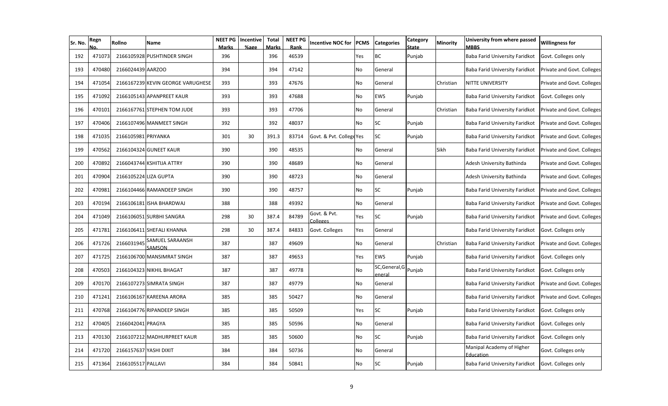| Sr. No. | Regn   | Rollno                 | Name                              | NEET PG<br><b>Marks</b> | Incentive<br>%age | Total<br>Marks | <b>NEET PG</b><br>Rank | <b>Incentive NOC for</b> | <b>PCMS</b> | <b>Categories</b>        | Category<br>State | <b>Minority</b> | University from where passed<br><b>MBBS</b> | <b>Willingness for</b>     |
|---------|--------|------------------------|-----------------------------------|-------------------------|-------------------|----------------|------------------------|--------------------------|-------------|--------------------------|-------------------|-----------------|---------------------------------------------|----------------------------|
| 192     | 471073 |                        | 2166105928 PUSHTINDER SINGH       | 396                     |                   | 396            | 46539                  |                          | Yes         | ВC                       | Punjab            |                 | Baba Farid University Faridkot              | Govt. Colleges only        |
| 193     | 470480 | 2166024439 AARZOO      |                                   | 394                     |                   | 394            | 47142                  |                          | No          | General                  |                   |                 | Baba Farid University Faridkot              | Private and Govt. Colleges |
| 194     | 471054 |                        | 2166167239 KEVIN GEORGE VARUGHESE | 393                     |                   | 393            | 47676                  |                          | No          | General                  |                   | Christian       | NITTE UNIVERSITY                            | Private and Govt. Colleges |
| 195     | 471092 |                        | 2166105143 APANPREET KAUR         | 393                     |                   | 393            | 47688                  |                          | No          | EWS                      | Punjab            |                 | Baba Farid University Faridkot              | Govt. Colleges only        |
| 196     | 470101 |                        | 2166167761 STEPHEN TOM JUDE       | 393                     |                   | 393            | 47706                  |                          | No          | General                  |                   | Christian       | Baba Farid University Faridkot              | Private and Govt. Colleges |
| 197     | 470406 |                        | 2166107496 MANMEET SINGH          | 392                     |                   | 392            | 48037                  |                          | <b>No</b>   | <b>SC</b>                | Puniab            |                 | Baba Farid University Faridkot              | Private and Govt. Colleges |
| 198     | 471035 | 2166105981 PRIYANKA    |                                   | 301                     | 30                | 391.3          | 83714                  | Govt. & Pvt. College Yes |             | SC                       | Punjab            |                 | Baba Farid University Faridkot              | Private and Govt. Colleges |
| 199     | 470562 |                        | 2166104324 GUNEET KAUR            | 390                     |                   | 390            | 48535                  |                          | <b>No</b>   | General                  |                   | Sikh            | Baba Farid University Faridkot              | Private and Govt. Colleges |
| 200     | 470892 |                        | 2166043744 KSHITIJA ATTRY         | 390                     |                   | 390            | 48689                  |                          | <b>No</b>   | General                  |                   |                 | Adesh University Bathinda                   | Private and Govt. Colleges |
| 201     | 470904 | 2166105224 LIZA GUPTA  |                                   | 390                     |                   | 390            | 48723                  |                          | <b>No</b>   | General                  |                   |                 | Adesh University Bathinda                   | Private and Govt. Colleges |
| 202     | 470981 |                        | 2166104466 RAMANDEEP SINGH        | 390                     |                   | 390            | 48757                  |                          | No          | SC                       | Punjab            |                 | Baba Farid University Faridkot              | Private and Govt. Colleges |
| 203     | 470194 |                        | 2166106181 ISHA BHARDWAJ          | 388                     |                   | 388            | 49392                  |                          | No          | General                  |                   |                 | Baba Farid University Faridkot              | Private and Govt. Colleges |
| 204     | 471049 |                        | 2166106051 SURBHI SANGRA          | 298                     | 30                | 387.4          | 84789                  | Govt. & Pvt.<br>Colleges | Yes         | SC                       | Punjab            |                 | Baba Farid University Faridkot              | Private and Govt. Colleges |
| 205     | 471781 |                        | 2166106411 SHEFALI KHANNA         | 298                     | 30                | 387.4          | 84833                  | Govt. Colleges           | Yes         | General                  |                   |                 | Baba Farid University Faridkot              | Govt. Colleges only        |
| 206     | 471726 | 2166031945             | SAMUEL SARAANSH<br>SAMSON         | 387                     |                   | 387            | 49609                  |                          | No          | General                  |                   | Christian       | Baba Farid University Faridkot              | Private and Govt. Colleges |
| 207     | 471725 |                        | 2166106700 MANSIMRAT SINGH        | 387                     |                   | 387            | 49653                  |                          | Yes         | EWS                      | Punjab            |                 | Baba Farid University Faridkot              | Govt. Colleges only        |
| 208     | 470503 |                        | 2166104323 NIKHIL BHAGAT          | 387                     |                   | 387            | 49778                  |                          | No          | SC, General, G<br>eneral | Punjab            |                 | Baba Farid University Faridkot              | Govt. Colleges only        |
| 209     | 470170 |                        | 2166107273 SIMRATA SINGH          | 387                     |                   | 387            | 49779                  |                          | No          | General                  |                   |                 | Baba Farid University Faridkot              | Private and Govt. Colleges |
| 210     | 471241 |                        | 2166106167 KAREENA ARORA          | 385                     |                   | 385            | 50427                  |                          | No          | General                  |                   |                 | Baba Farid University Faridkot              | Private and Govt. Colleges |
| 211     | 470768 |                        | 2166104776 RIPANDEEP SINGH        | 385                     |                   | 385            | 50509                  |                          | Yes         | SC                       | Punjab            |                 | Baba Farid University Faridkot              | Govt. Colleges only        |
| 212     | 470405 | 2166042041 PRAGYA      |                                   | 385                     |                   | 385            | 50596                  |                          | No          | General                  |                   |                 | Baba Farid University Faridkot              | Govt. Colleges only        |
| 213     | 470130 |                        | 2166107212 MADHURPREET KAUR       | 385                     |                   | 385            | 50600                  |                          | No          | SC                       | Punjab            |                 | Baba Farid University Faridkot              | Govt. Colleges only        |
| 214     | 471720 | 2166157637 YASHI DIXIT |                                   | 384                     |                   | 384            | 50736                  |                          | No          | General                  |                   |                 | Manipal Academy of Higher<br>Education      | Govt. Colleges only        |
| 215     | 471364 | 2166105517 PALLAVI     |                                   | 384                     |                   | 384            | 50841                  |                          | No          | SC                       | Punjab            |                 | Baba Farid University Faridkot              | Govt. Colleges only        |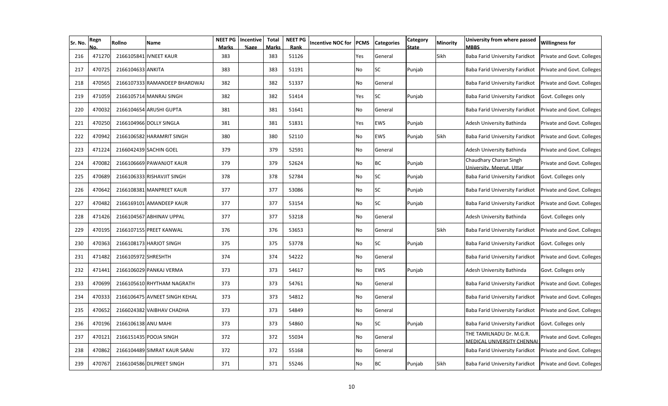| Sr. No. | Regn   | Rollno              | Name                          | <b>NEET PG</b><br>Marks | Incentive<br>%age | <b>Total</b><br><b>Marks</b> | <b>NEET PG</b><br>Rank | <b>Incentive NOC for</b> | PCMS | <b>Categories</b> | Category<br>State | Minority | University from where passed<br><b>MBBS</b>           | <b>Willingness for</b>     |
|---------|--------|---------------------|-------------------------------|-------------------------|-------------------|------------------------------|------------------------|--------------------------|------|-------------------|-------------------|----------|-------------------------------------------------------|----------------------------|
| 216     | 471270 |                     | 2166105841 IVNEET KAUR        | 383                     |                   | 383                          | 51126                  |                          | Yes  | General           |                   | Sikh     | Baba Farid University Faridkot                        | Private and Govt. Colleges |
| 217     | 470725 | 2166104633 ANKITA   |                               | 383                     |                   | 383                          | 51191                  |                          | No   | <b>SC</b>         | Punjab            |          | Baba Farid University Faridkot                        | Private and Govt. Colleges |
| 218     | 470565 |                     | 2166107333 RAMANDEEP BHARDWAJ | 382                     |                   | 382                          | 51337                  |                          | No   | General           |                   |          | Baba Farid University Faridkot                        | Private and Govt. Colleges |
| 219     | 471059 |                     | 2166105714 MANRAJ SINGH       | 382                     |                   | 382                          | 51414                  |                          | Yes  | <b>SC</b>         | Punjab            |          | Baba Farid University Faridkot                        | Govt. Colleges only        |
| 220     | 470032 |                     | 2166104654 ARUSHI GUPTA       | 381                     |                   | 381                          | 51641                  |                          | No   | General           |                   |          | Baba Farid University Faridkot                        | Private and Govt. Colleges |
| 221     | 470250 |                     | 2166104966 DOLLY SINGLA       | 381                     |                   | 381                          | 51831                  |                          | Yes  | <b>EWS</b>        | Punjab            |          | Adesh University Bathinda                             | Private and Govt. Colleges |
| 222     | 470942 |                     | 2166106582 HARAMRIT SINGH     | 380                     |                   | 380                          | 52110                  |                          | No   | EWS               | Punjab            | Sikh     | Baba Farid University Faridkot                        | Private and Govt. Colleges |
| 223     | 471224 |                     | 2166042439 SACHIN GOEL        | 379                     |                   | 379                          | 52591                  |                          | No   | General           |                   |          | Adesh University Bathinda                             | Private and Govt. Colleges |
| 224     | 470082 |                     | 2166106669 PAWANJOT KAUR      | 379                     |                   | 379                          | 52624                  |                          | No   | <b>BC</b>         | Punjab            |          | Chaudhary Charan Singh<br>University, Meerut, Uttar   | Private and Govt. Colleges |
| 225     | 470689 |                     | 2166106333 RISHAVJIT SINGH    | 378                     |                   | 378                          | 52784                  |                          | No   | <b>SC</b>         | Punjab            |          | Baba Farid University Faridkot                        | Govt. Colleges only        |
| 226     | 470642 |                     | 2166108381 MANPREET KAUR      | 377                     |                   | 377                          | 53086                  |                          | No   | <b>SC</b>         | Punjab            |          | Baba Farid University Faridkot                        | Private and Govt. Colleges |
| 227     | 470482 |                     | 2166169101 AMANDEEP KAUR      | 377                     |                   | 377                          | 53154                  |                          | No   | <b>SC</b>         | Punjab            |          | Baba Farid University Faridkot                        | Private and Govt. Colleges |
| 228     | 471426 |                     | 2166104567 ABHINAV UPPAL      | 377                     |                   | 377                          | 53218                  |                          | No   | General           |                   |          | Adesh University Bathinda                             | Govt. Colleges only        |
| 229     | 470195 |                     | 2166107155 PREET KANWAL       | 376                     |                   | 376                          | 53653                  |                          | No   | General           |                   | Sikh     | Baba Farid University Faridkot                        | Private and Govt. Colleges |
| 230     | 470363 |                     | 2166108173 HARJOT SINGH       | 375                     |                   | 375                          | 53778                  |                          | No   | <b>SC</b>         | Punjab            |          | Baba Farid University Faridkot                        | Govt. Colleges only        |
| 231     | 471482 | 2166105972 SHRESHTH |                               | 374                     |                   | 374                          | 54222                  |                          | No   | General           |                   |          | Baba Farid University Faridkot                        | Private and Govt. Colleges |
| 232     | 471441 |                     | 2166106029 PANKAJ VERMA       | 373                     |                   | 373                          | 54617                  |                          | No   | EWS               | Punjab            |          | Adesh University Bathinda                             | Govt. Colleges only        |
| 233     | 470699 |                     | 2166105610 RHYTHAM NAGRATH    | 373                     |                   | 373                          | 54761                  |                          | No   | General           |                   |          | Baba Farid University Faridkot                        | Private and Govt. Colleges |
| 234     | 470333 |                     | 2166106475 AVNEET SINGH KEHAL | 373                     |                   | 373                          | 54812                  |                          | No   | General           |                   |          | Baba Farid University Faridkot                        | Private and Govt. Colleges |
| 235     | 470652 |                     | 2166024382 VAIBHAV CHADHA     | 373                     |                   | 373                          | 54849                  |                          | No   | General           |                   |          | Baba Farid University Faridkot                        | Private and Govt. Colleges |
| 236     | 470196 | 2166106138 ANU MAHI |                               | 373                     |                   | 373                          | 54860                  |                          | No   | <b>SC</b>         | Punjab            |          | Baba Farid University Faridkot                        | Govt. Colleges only        |
| 237     | 470121 |                     | 2166151435 POOJA SINGH        | 372                     |                   | 372                          | 55034                  |                          | No   | General           |                   |          | THE TAMILNADU Dr. M.G.R.<br>MEDICAL UNIVERSITY CHENNA | Private and Govt. Colleges |
| 238     | 470862 |                     | 2166104489 SIMRAT KAUR SARAI  | 372                     |                   | 372                          | 55168                  |                          | No   | General           |                   |          | <b>Baba Farid University Faridkot</b>                 | Private and Govt. Colleges |
| 239     | 470767 |                     | 2166104586 DILPREET SINGH     | 371                     |                   | 371                          | 55246                  |                          | No   | <b>BC</b>         | Punjab            | Sikh     | Baba Farid University Faridkot                        | Private and Govt. Colleges |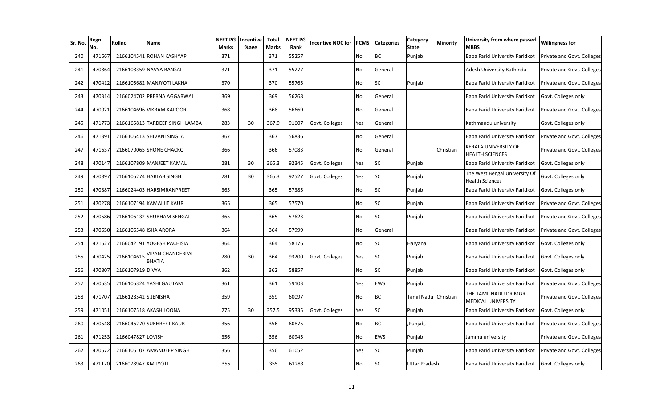| Sr. No. | Regn   | Rollno               | Name                              | <b>NEET PG</b><br><b>Marks</b> | Incentive<br>%age | <b>Total</b><br><b>Marks</b> | <b>NEET PG</b><br>Rank | <b>Incentive NOC for</b> | <b>PCMS</b> | <b>Categories</b> | Category<br>State | Minority  | University from where passed<br><b>MBBS</b>             | <b>Willingness for</b>     |
|---------|--------|----------------------|-----------------------------------|--------------------------------|-------------------|------------------------------|------------------------|--------------------------|-------------|-------------------|-------------------|-----------|---------------------------------------------------------|----------------------------|
| 240     | 471667 |                      | 2166104541 ROHAN KASHYAP          | 371                            |                   | 371                          | 55257                  |                          | No          | <b>BC</b>         | Punjab            |           | Baba Farid University Faridkot                          | Private and Govt. Colleges |
| 241     | 470864 |                      | 2166108359 NAVYA BANSAL           | 371                            |                   | 371                          | 55277                  |                          | No          | General           |                   |           | Adesh University Bathinda                               | Private and Govt. Colleges |
| 242     | 470412 |                      | 2166105682 MANJYOTI LAKHA         | 370                            |                   | 370                          | 55765                  |                          | No          | <b>SC</b>         | Punjab            |           | Baba Farid University Faridkot                          | Private and Govt. Colleges |
| 243     | 470314 |                      | 2166024702 PRERNA AGGARWAL        | 369                            |                   | 369                          | 56268                  |                          | No          | General           |                   |           | Baba Farid University Faridkot                          | Govt. Colleges only        |
| 244     | 470021 |                      | 2166104696 VIKRAM KAPOOR          | 368                            |                   | 368                          | 56669                  |                          | No          | General           |                   |           | Baba Farid University Faridkot                          | Private and Govt. Colleges |
| 245     | 471773 |                      | 2166165813 TARDEEP SINGH LAMBA    | 283                            | 30                | 367.9                        | 91607                  | Govt. Colleges           | Yes         | General           |                   |           | Kathmandu university                                    | Govt. Colleges only        |
| 246     | 471391 |                      | 2166105413 SHIVANI SINGLA         | 367                            |                   | 367                          | 56836                  |                          | No          | General           |                   |           | Baba Farid University Faridkot                          | Private and Govt. Colleges |
| 247     | 471637 |                      | 2166070065 SHONE CHACKO           | 366                            |                   | 366                          | 57083                  |                          | No          | General           |                   | Christian | KERALA UNIVERSITY OF<br><b>HEALTH SCIENCES</b>          | Private and Govt. Colleges |
| 248     | 470147 |                      | 2166107809 MANJEET KAMAL          | 281                            | 30                | 365.3                        | 92345                  | Govt. Colleges           | Yes         | <b>SC</b>         | Punjab            |           | Baba Farid University Faridkot                          | Govt. Colleges only        |
| 249     | 470897 |                      | 2166105274 HARLAB SINGH           | 281                            | 30                | 365.3                        | 92527                  | Govt. Colleges           | Yes         | <b>SC</b>         | Punjab            |           | The West Bengal University Of<br><b>Health Sciences</b> | Govt. Colleges only        |
| 250     | 470887 |                      | 2166024403 HARSIMRANPREET         | 365                            |                   | 365                          | 57385                  |                          | No          | <b>SC</b>         | Punjab            |           | Baba Farid University Faridkot                          | Govt. Colleges only        |
| 251     | 470278 |                      | 2166107194 KAMALJIT KAUR          | 365                            |                   | 365                          | 57570                  |                          | No          | <b>SC</b>         | Punjab            |           | Baba Farid University Faridkot                          | Private and Govt. Colleges |
| 252     | 470586 |                      | 2166106132 SHUBHAM SEHGAL         | 365                            |                   | 365                          | 57623                  |                          | No          | <b>SC</b>         | Punjab            |           | Baba Farid University Faridkot                          | Private and Govt. Colleges |
| 253     | 470650 |                      | 2166106548 ISHA ARORA             | 364                            |                   | 364                          | 57999                  |                          | No          | General           |                   |           | Baba Farid University Faridkot                          | Private and Govt. Colleges |
| 254     | 471627 |                      | 2166042191 YOGESH PACHISIA        | 364                            |                   | 364                          | 58176                  |                          | No          | <b>SC</b>         | Haryana           |           | Baba Farid University Faridkot                          | Govt. Colleges only        |
| 255     | 470425 | 2166104615           | VIPAN CHANDERPAL<br><b>BHATIA</b> | 280                            | 30                | 364                          | 93200                  | Govt. Colleges           | Yes         | <b>SC</b>         | Punjab            |           | Baba Farid University Faridkot                          | Govt. Colleges only        |
| 256     | 470807 | 2166107919 DIVYA     |                                   | 362                            |                   | 362                          | 58857                  |                          | No          | <b>SC</b>         | Punjab            |           | Baba Farid University Faridkot                          | Govt. Colleges only        |
| 257     | 470535 |                      | 2166105324 YASHI GAUTAM           | 361                            |                   | 361                          | 59103                  |                          | Yes         | <b>EWS</b>        | Punjab            |           | Baba Farid University Faridkot                          | Private and Govt. Colleges |
| 258     | 471707 | 2166128542 S.JENISHA |                                   | 359                            |                   | 359                          | 60097                  |                          | No          | <b>BC</b>         | Tamil Nadu        | Christian | THE TAMILNADU DR.MGR<br><b>MEDICAL UNIVERSITY</b>       | Private and Govt. Colleges |
| 259     | 471051 |                      | 2166107518 AKASH LOONA            | 275                            | 30                | 357.5                        | 95335                  | Govt. Colleges           | Yes         | <b>SC</b>         | Punjab            |           | Baba Farid University Faridkot                          | Govt. Colleges only        |
| 260     | 470548 |                      | 2166046270 SUKHREET KAUR          | 356                            |                   | 356                          | 60875                  |                          | No          | <b>BC</b>         | ,Punjab,          |           | <b>Baba Farid University Faridkot</b>                   | Private and Govt. Colleges |
| 261     | 471253 | 2166047827 LOVISH    |                                   | 356                            |                   | 356                          | 60945                  |                          | No          | <b>EWS</b>        | Punjab            |           | Jammu university                                        | Private and Govt. Colleges |
| 262     | 470672 |                      | 2166106107 AMANDEEP SINGH         | 356                            |                   | 356                          | 61052                  |                          | Yes         | <b>SC</b>         | Punjab            |           | Baba Farid University Faridkot                          | Private and Govt. Colleges |
| 263     | 471170 | 2166078947 KM JYOTI  |                                   | 355                            |                   | 355                          | 61283                  |                          | No          | <b>SC</b>         | Uttar Pradesh     |           | Baba Farid University Faridkot                          | Govt. Colleges only        |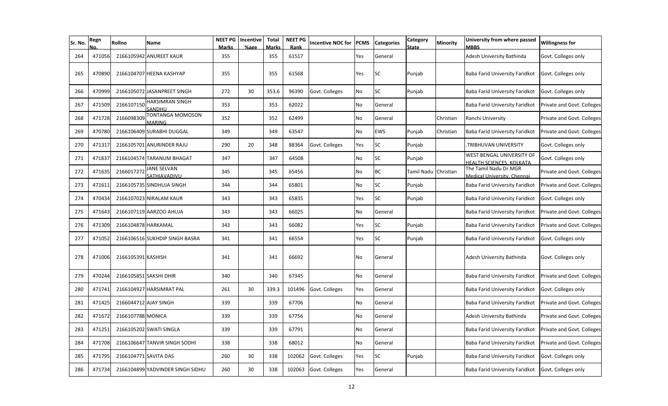| Sr. No. | Regn   | Rollno                | Name                               | NEET PG<br>Marks | Incentive<br>%age | Total<br>Marks | <b>NEET PG</b><br>Rank | <b>Incentive NOC for</b> | <b>PCMS</b> | <b>Categories</b> | Category<br><b>State</b> | <b>Minority</b> | University from where passed<br><b>MBBS</b>           | <b>Willingness for</b>     |
|---------|--------|-----------------------|------------------------------------|------------------|-------------------|----------------|------------------------|--------------------------|-------------|-------------------|--------------------------|-----------------|-------------------------------------------------------|----------------------------|
| 264     | 471056 |                       | 2166105942 ANUREET KAUR            | 355              |                   | 355            | 61517                  |                          | Yes         | General           |                          |                 | Adesh University Bathinda                             | Govt. Colleges only        |
| 265     | 470890 |                       | 2166104707 HEENA KASHYAP           | 355              |                   | 355            | 61568                  |                          | Yes         | SC                | Punjab                   |                 | Baba Farid University Faridkot                        | Govt. Colleges only        |
| 266     | 470999 |                       | 2166105072 JASANPREET SINGH        | 272              | 30                | 353.6          | 96390                  | Govt. Colleges           | No          | <b>SC</b>         | Punjab                   |                 | Baba Farid University Faridkot                        | Govt. Colleges only        |
| 267     | 471509 | 216610715             | HARSIMRAN SINGH<br>SANDHU          | 353              |                   | 353            | 62022                  |                          | No          | General           |                          |                 | Baba Farid University Faridkot                        | Private and Govt. Colleges |
| 268     | 471728 | 216609830             | TONTANGA MOMOSON<br>MARING         | 352              |                   | 352            | 62499                  |                          | No          | General           |                          | Christian       | Ranchi University                                     | Private and Govt. Colleges |
| 269     | 470780 |                       | 2166106409 SURABHI DUGGAL          | 349              |                   | 349            | 63547                  |                          | No          | EWS               | Punjab                   | Christian       | Baba Farid University Faridkot                        | Private and Govt. Colleges |
| 270     | 471317 |                       | 2166105701 ANURINDER RAJU          | 290              | 20                | 348            | 88364                  | Govt. Colleges           | Yes         | <b>SC</b>         | Punjab                   |                 | TRIBHUVAN UNIVERSITY                                  | Govt. Colleges only        |
| 271     | 471837 |                       | 2166104574 TARANUM BHAGAT          | 347              |                   | 347            | 64508                  |                          | No          | <b>SC</b>         | Punjab                   |                 | WEST BENGAL UNIVERSITY OF<br>IEALTH SCIENCES. KOLKATA | Govt. Colleges only        |
| 272     | 471635 | 2166017272            | <b>JANE SELVAN</b><br>SATHIAVADIVU | 345              |                   | 345            | 65456                  |                          | No          | BC                | Tamil Nadu Christian     |                 | The Tamil Nadu Dr.MGR<br>Medical University, Chennai  | Private and Govt. Colleges |
| 273     | 471611 |                       | 2166105735 SINDHUJA SINGH          | 344              |                   | 344            | 65801                  |                          | No          | <b>SC</b>         | Punjab                   |                 | Baba Farid University Faridkot                        | Private and Govt. Colleges |
| 274     | 470434 |                       | 2166107023 NIRALAM KAUR            | 343              |                   | 343            | 65835                  |                          | Yes         | <b>SC</b>         | Punjab                   |                 | Baba Farid University Faridkot                        | Govt. Colleges only        |
| 275     | 471643 |                       | 2166107119 AARZOO AHUJA            | 343              |                   | 343            | 66025                  |                          | No          | General           |                          |                 | Baba Farid University Faridkot                        | Private and Govt. Colleges |
| 276     | 471309 | 2166104878 HARKAMAL   |                                    | 343              |                   | 343            | 66082                  |                          | Yes         | SC                | Punjab                   |                 | Baba Farid University Faridkot                        | Private and Govt. Colleges |
| 277     | 471052 |                       | 2166106516 SUKHDIP SINGH BASRA     | 341              |                   | 341            | 66554                  |                          | Yes         | <b>SC</b>         | Punjab                   |                 | Baba Farid University Faridkot                        | Govt. Colleges only        |
| 278     | 471006 | 2166105391 KASHISH    |                                    | 341              |                   | 341            | 66692                  |                          | No          | General           |                          |                 | Adesh University Bathinda                             | Govt. Colleges only        |
| 279     | 470244 |                       | 2166105851 SAKSHI DHIR             | 340              |                   | 340            | 67345                  |                          | No          | General           |                          |                 | Baba Farid University Faridkot                        | Private and Govt. Colleges |
| 280     | 471741 |                       | 2166104927 HARSIMRAT PAL           | 261              | 30                | 339.3          | 101496                 | Govt. Colleges           | Yes         | General           |                          |                 | Baba Farid University Faridkot                        | Govt. Colleges only        |
| 281     | 471425 | 2166044712 AJAY SINGH |                                    | 339              |                   | 339            | 67706                  |                          | No          | General           |                          |                 | Baba Farid University Faridkot                        | Private and Govt. Colleges |
| 282     | 471672 | 2166107788 MONICA     |                                    | 339              |                   | 339            | 67756                  |                          | No          | General           |                          |                 | Adesh University Bathinda                             | Private and Govt. Colleges |
| 283     | 471251 |                       | 2166105202 SWATI SINGLA            | 339              |                   | 339            | 67791                  |                          | No          | General           |                          |                 | Baba Farid University Faridkot                        | Private and Govt. Colleges |
| 284     | 471708 |                       | 2166106647 TANVIR SINGH SODHI      | 338              |                   | 338            | 68012                  |                          | No          | General           |                          |                 | Baba Farid University Faridkot                        | Private and Govt. Colleges |
| 285     | 471795 | 2166104771 SAVITA DAS |                                    | 260              | 30                | 338            | 102062                 | Govt. Colleges           | Yes         | SC                | Punjab                   |                 | Baba Farid University Faridkot                        | Govt. Colleges only        |
| 286     | 471734 |                       | 2166104899 YADVINDER SINGH SIDHU   | 260              | 30                | 338            | 102063                 | Govt. Colleges           | Yes         | General           |                          |                 | Baba Farid University Faridkot                        | Govt. Colleges only        |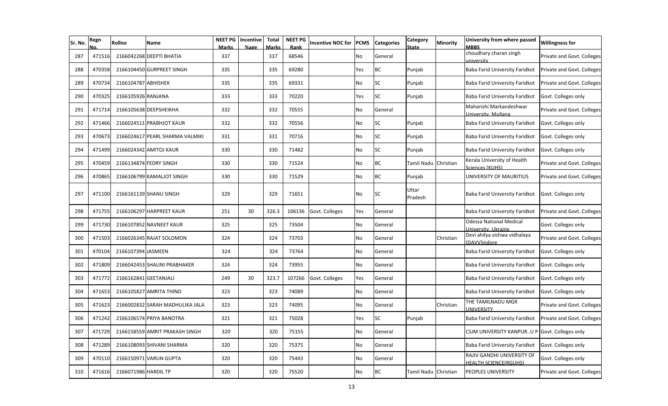| Sr. No. | Regn   | Rollno                | <b>Name</b>                     | <b>NEET PG</b><br><b>Marks</b> | Incentive<br>%age | Total<br>Marks | <b>NEET PG</b><br>Rank | <b>Incentive NOC for</b> | <b>PCMS</b> | <b>Categories</b> | Category<br><b>State</b> | Minority  | University from where passed<br><b>MBBS</b>                | <b>Willingness for</b>     |
|---------|--------|-----------------------|---------------------------------|--------------------------------|-------------------|----------------|------------------------|--------------------------|-------------|-------------------|--------------------------|-----------|------------------------------------------------------------|----------------------------|
| 287     | 471516 |                       | 2166042268 DEEPTI BHATIA        | 337                            |                   | 337            | 68546                  |                          | No          | General           |                          |           | choudhary charan singh<br><i><b>university</b></i>         | Private and Govt. Colleges |
| 288     | 470358 |                       | 2166104450 GURPREET SINGH       | 335                            |                   | 335            | 69280                  |                          | Yes         | ВC                | Punjab                   |           | Baba Farid University Faridkot                             | Private and Govt. Colleges |
| 289     | 470734 | 2166104787 ABHISHEK   |                                 | 335                            |                   | 335            | 69331                  |                          | No          | SC                | Punjab                   |           | Baba Farid University Faridkot                             | Private and Govt. Colleges |
| 290     | 470325 | 2166105926 RANJANA    |                                 | 333                            |                   | 333            | 70220                  |                          | Yes         | <b>SC</b>         | Punjab                   |           | Baba Farid University Faridkot                             | Govt. Colleges only        |
| 291     | 471714 |                       | 2166105638 DEEPSHEIKHA          | 332                            |                   | 332            | 70555                  |                          | No          | General           |                          |           | Maharishi Markandeshwar<br>Jniversity, Mullana             | Private and Govt. Colleges |
| 292     | 471466 |                       | 2166024511 PRABHJOT KAUR        | 332                            |                   | 332            | 70556                  |                          | No          | <b>SC</b>         | Punjab                   |           | Baba Farid University Faridkot                             | Govt. Colleges only        |
| 293     | 470673 |                       | 2166024617 PEARL SHARMA VALMIKI | 331                            |                   | 331            | 70716                  |                          | No          | <b>SC</b>         | Punjab                   |           | Baba Farid University Faridkot                             | Govt. Colleges only        |
| 294     | 471499 |                       | 2166024342 AMITOJ KAUR          | 330                            |                   | 330            | 71482                  |                          | No          | <b>SC</b>         | Punjab                   |           | Baba Farid University Faridkot                             | Govt. Colleges only        |
| 295     | 470459 |                       | 2166134874 FEDRY SINGH          | 330                            |                   | 330            | 71524                  |                          | No          | <b>BC</b>         | Tamil Nadu Christian     |           | Kerala University of Health<br>Sciences (KUHS)             | Private and Govt. Colleges |
| 296     | 470865 |                       | 2166106799 KAMALJOT SINGH       | 330                            |                   | 330            | 71529                  |                          | No          | <b>BC</b>         | Punjab                   |           | UNIVERSITY OF MAURITIUS                                    | Private and Govt. Colleges |
| 297     | 471100 |                       | 2166161139 SHANU SINGH          | 329                            |                   | 329            | 71651                  |                          | <b>No</b>   | <b>SC</b>         | Uttar<br>Pradesh         |           | Baba Farid University Faridkot                             | Govt. Colleges only        |
| 298     | 471755 |                       | 2166106297 HARPREET KAUR        | 251                            | 30                | 326.3          | 106136                 | Govt. Colleges           | Yes         | General           |                          |           | Baba Farid University Faridkot                             | Private and Govt. Colleges |
| 299     | 471730 |                       | 2166107852 NAVNEET KAUR         | 325                            |                   | 325            | 73504                  |                          | No          | General           |                          |           | <b>Odessa National Medical</b><br>Jniversity, Ukraine      | Govt. Colleges only        |
| 300     | 471503 |                       | 2166026345 RAJAT SOLOMON        | 324                            |                   | 324            | 73703                  |                          | No          | General           |                          | Christian | Devi ahilya vishwa vidhalaya<br>DAVV)indore                | Private and Govt. Colleges |
| 301     | 470104 | 2166107394 JASMEEN    |                                 | 324                            |                   | 324            | 73764                  |                          | No          | General           |                          |           | Baba Farid University Faridkot                             | Govt. Colleges only        |
| 302     | 471809 |                       | 2166042453 SHALINI PRABHAKER    | 324                            |                   | 324            | 73955                  |                          | No          | General           |                          |           | Baba Farid University Faridkot                             | Govt. Colleges only        |
| 303     | 471772 | 2166162841 GEETANJALI |                                 | 249                            | 30                | 323.7          | 107266                 | Govt. Colleges           | Yes         | General           |                          |           | Baba Farid University Faridkot                             | Govt. Colleges only        |
| 304     | 471653 |                       | 2166105827 AMRITA THIND         | 323                            |                   | 323            | 74089                  |                          | No          | General           |                          |           | Baba Farid University Faridkot                             | Govt. Colleges only        |
| 305     | 471623 |                       | 2166002832 SARAH MADHULIKA JALA | 323                            |                   | 323            | 74095                  |                          | No          | General           |                          | Christian | THE TAMILNADU MGR<br><b>JNIVERSITY</b>                     | Private and Govt. Colleges |
| 306     | 471242 |                       | 2166106574 PRIYA BANOTRA        | 321                            |                   | 321            | 75028                  |                          | Yes         | SC                | Punjab                   |           | Baba Farid University Faridkot                             | Private and Govt. Colleges |
| 307     | 471729 |                       | 2166158559 AMRIT PRAKASH SINGH  | 320                            |                   | 320            | 75155                  |                          | No          | General           |                          |           | CSJM UNIVERSITY KANPURU                                    | Govt. Colleges only        |
| 308     | 471289 |                       | 2166108093 SHIVANI SHARMA       | 320                            |                   | 320            | 75375                  |                          | No          | General           |                          |           | Baba Farid University Faridkot                             | Govt. Colleges only        |
| 309     | 470110 |                       | 2166150971 VARUN GUPTA          | 320                            |                   | 320            | 75443                  |                          | No          | General           |                          |           | RAJIV GANDHI UNIVERSITY OF<br><b>HEALTH SCIENCE(RGUHS)</b> | Govt. Colleges only        |
| 310     | 471616 | 2166071986 HARDIL TP  |                                 | 320                            |                   | 320            | 75520                  |                          | No          | BC                | Tamil Nadu Christian     |           | PEOPLES UNIVERSITY                                         | Private and Govt. Colleges |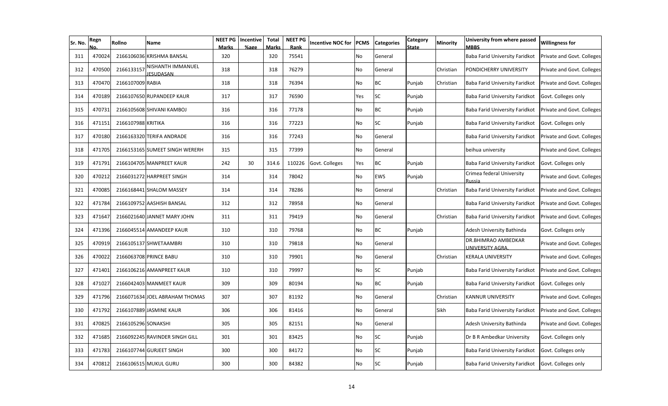| Sr. No. | Regn   | Rollno              | Name                                  | <b>NEET PG</b><br><b>Marks</b> | Incentive<br>%age | <b>Total</b><br><b>Marks</b> | <b>NEET PG</b><br>Rank | <b>Incentive NOC for</b> | <b>PCMS</b> | <b>Categories</b> | Category<br><b>State</b> | Minority  | University from where passed<br><b>MBBS</b> | <b>Willingness for</b>     |
|---------|--------|---------------------|---------------------------------------|--------------------------------|-------------------|------------------------------|------------------------|--------------------------|-------------|-------------------|--------------------------|-----------|---------------------------------------------|----------------------------|
| 311     | 470024 |                     | 2166106036 KRISHMA BANSAL             | 320                            |                   | 320                          | 75541                  |                          | No          | General           |                          |           | Baba Farid University Faridkot              | Private and Govt. Colleges |
| 312     | 470500 | 2166133157          | NISHANTH IMMANUEL<br><b>JESUDASAN</b> | 318                            |                   | 318                          | 76279                  |                          | No          | General           |                          | Christian | PONDICHERRY UNIVERSITY                      | Private and Govt. Colleges |
| 313     | 470470 | 2166107009 RABIA    |                                       | 318                            |                   | 318                          | 76394                  |                          | No          | <b>BC</b>         | Punjab                   | Christian | Baba Farid University Faridkot              | Private and Govt. Colleges |
| 314     | 470189 |                     | 2166107650 RUPANDEEP KAUR             | 317                            |                   | 317                          | 76590                  |                          | Yes         | <b>SC</b>         | Punjab                   |           | Baba Farid University Faridkot              | Govt. Colleges only        |
| 315     | 470731 |                     | 2166105608 SHIVANI KAMBOJ             | 316                            |                   | 316                          | 77178                  |                          | No          | <b>BC</b>         | Punjab                   |           | Baba Farid University Faridkot              | Private and Govt. Colleges |
| 316     | 471151 | 2166107988 KRITIKA  |                                       | 316                            |                   | 316                          | 77223                  |                          | No          | <b>SC</b>         | Punjab                   |           | Baba Farid University Faridkot              | Govt. Colleges only        |
| 317     | 470180 |                     | 2166163320 TERIFA ANDRADE             | 316                            |                   | 316                          | 77243                  |                          | No          | General           |                          |           | Baba Farid University Faridkot              | Private and Govt. Colleges |
| 318     | 471705 |                     | 2166153165 SUMEET SINGH WERERH        | 315                            |                   | 315                          | 77399                  |                          | No          | General           |                          |           | beihua university                           | Private and Govt. Colleges |
| 319     | 471791 |                     | 2166104705 MANPREET KAUR              | 242                            | 30                | 314.6                        | 110226                 | Govt. Colleges           | Yes         | <b>BC</b>         | Punjab                   |           | Baba Farid University Faridkot              | Govt. Colleges only        |
| 320     | 470212 |                     | 2166031272 HARPREET SINGH             | 314                            |                   | 314                          | 78042                  |                          | No          | <b>EWS</b>        | Punjab                   |           | Crimea federal University<br>Russia         | Private and Govt. Colleges |
| 321     | 470085 |                     | 2166168441 SHALOM MASSEY              | 314                            |                   | 314                          | 78286                  |                          | No          | General           |                          | Christian | Baba Farid University Faridkot              | Private and Govt. Colleges |
| 322     | 471784 |                     | 2166109752 AASHISH BANSAL             | 312                            |                   | 312                          | 78958                  |                          | No          | General           |                          |           | Baba Farid University Faridkot              | Private and Govt. Colleges |
| 323     | 471647 |                     | 2166021640 JANNET MARY JOHN           | 311                            |                   | 311                          | 79419                  |                          | No          | General           |                          | Christian | Baba Farid University Faridkot              | Private and Govt. Colleges |
| 324     | 471396 |                     | 2166045514 AMANDEEP KAUR              | 310                            |                   | 310                          | 79768                  |                          | No          | <b>BC</b>         | Punjab                   |           | Adesh University Bathinda                   | Govt. Colleges only        |
| 325     | 470919 |                     | 2166105137 SHWETAAMBRI                | 310                            |                   | 310                          | 79818                  |                          | No          | General           |                          |           | DR.BHIMRAO AMBEDKAR<br>UNIVERSITY AGRA      | Private and Govt. Colleges |
| 326     | 470022 |                     | 2166063708 PRINCE BABU                | 310                            |                   | 310                          | 79901                  |                          | No          | General           |                          | Christian | <b>KERALA UNIVERSITY</b>                    | Private and Govt. Colleges |
| 327     | 471401 |                     | 2166106216 AMANPREET KAUR             | 310                            |                   | 310                          | 79997                  |                          | No          | <b>SC</b>         | Punjab                   |           | Baba Farid University Faridkot              | Private and Govt. Colleges |
| 328     | 471027 |                     | 2166042403 MANMEET KAUR               | 309                            |                   | 309                          | 80194                  |                          | No          | <b>BC</b>         | Punjab                   |           | Baba Farid University Faridkot              | Govt. Colleges only        |
| 329     | 471796 |                     | 2166071634 JOEL ABRAHAM THOMAS        | 307                            |                   | 307                          | 81192                  |                          | No          | General           |                          | Christian | <b>KANNUR UNIVERSITY</b>                    | Private and Govt. Colleges |
| 330     | 471792 |                     | 2166107889 JASMINE KAUR               | 306                            |                   | 306                          | 81416                  |                          | No          | General           |                          | Sikh      | Baba Farid University Faridkot              | Private and Govt. Colleges |
| 331     | 470825 | 2166105296 SONAKSHI |                                       | 305                            |                   | 305                          | 82151                  |                          | No          | General           |                          |           | Adesh University Bathinda                   | Private and Govt. Colleges |
| 332     | 471685 |                     | 2166092245 RAVINDER SINGH GILL        | 301                            |                   | 301                          | 83425                  |                          | No          | <b>SC</b>         | Punjab                   |           | Dr B R Ambedkar University                  | Govt. Colleges only        |
| 333     | 471783 |                     | 2166107744 GURJEET SINGH              | 300                            |                   | 300                          | 84172                  |                          | No          | <b>SC</b>         | Punjab                   |           | Baba Farid University Faridkot              | Govt. Colleges only        |
| 334     | 470812 |                     | 2166106515 MUKUL GURU                 | 300                            |                   | 300                          | 84382                  |                          | No          | <b>SC</b>         | Punjab                   |           | Baba Farid University Faridkot              | Govt. Colleges only        |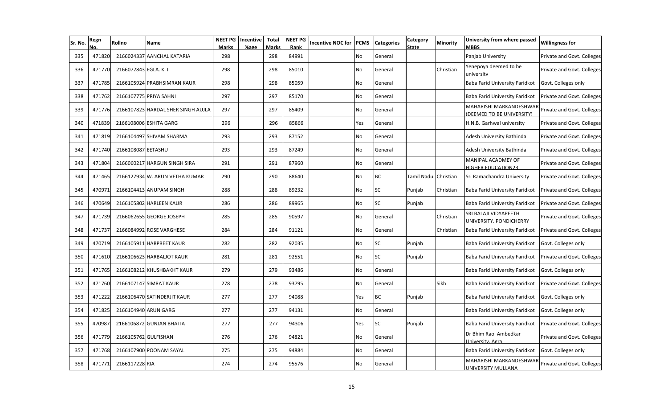| Sr. No. | Regn   | Rollno                | Name                               | <b>Marks</b> | <b>NEET PG</b>   Incentive<br>%age | <b>Total</b><br><b>Marks</b> | <b>NEET PG</b><br>Rank | <b>Incentive NOC for</b> | <b>PCMS</b> | <b>Categories</b> | Category<br><b>State</b> | Minority  | University from where passed<br><b>MBBS</b>          | <b>Willingness for</b>     |
|---------|--------|-----------------------|------------------------------------|--------------|------------------------------------|------------------------------|------------------------|--------------------------|-------------|-------------------|--------------------------|-----------|------------------------------------------------------|----------------------------|
| 335     | 471820 |                       | 2166024337 AANCHAL KATARIA         | 298          |                                    | 298                          | 84991                  |                          | No          | General           |                          |           | Panjab University                                    | Private and Govt. Colleges |
| 336     | 471770 | 2166072843 EGLA. K. I |                                    | 298          |                                    | 298                          | 85010                  |                          | No          | General           |                          | Christian | Yenepoya deemed to be<br>university                  | Private and Govt. Colleges |
| 337     | 471785 |                       | 2166105924 PRABHSIMRAN KAUR        | 298          |                                    | 298                          | 85059                  |                          | No          | General           |                          |           | Baba Farid University Faridkot                       | Govt. Colleges only        |
| 338     | 471762 |                       | 2166107775 PRIYA SAHNI             | 297          |                                    | 297                          | 85170                  |                          | No          | General           |                          |           | Baba Farid University Faridkot                       | Private and Govt. Colleges |
| 339     | 471776 |                       | 2166107823 HARDAL SHER SINGH AUJLA | 297          |                                    | 297                          | 85409                  |                          | No          | General           |                          |           | MAHARISHI MARKANDESHWAR<br>(DEEMED TO BE UNIVERSITY) | Private and Govt. Colleges |
| 340     | 471839 |                       | 2166108006 ESHITA GARG             | 296          |                                    | 296                          | 85866                  |                          | Yes         | General           |                          |           | H.N.B. Garhwal university                            | Private and Govt. Colleges |
| 341     | 471819 |                       | 2166104497 SHIVAM SHARMA           | 293          |                                    | 293                          | 87152                  |                          | No          | General           |                          |           | Adesh University Bathinda                            | Private and Govt. Colleges |
| 342     | 471740 | 2166108087 EETASHU    |                                    | 293          |                                    | 293                          | 87249                  |                          | No          | General           |                          |           | Adesh University Bathinda                            | Private and Govt. Colleges |
| 343     | 471804 |                       | 2166060217 HARGUN SINGH SIRA       | 291          |                                    | 291                          | 87960                  |                          | No          | General           |                          |           | MANIPAL ACADMEY OF<br>HIGHER EDUCATION23.            | Private and Govt. Colleges |
| 344     | 471465 |                       | 2166127934 W. ARUN VETHA KUMAR     | 290          |                                    | 290                          | 88640                  |                          | No          | <b>BC</b>         | Tamil Nadu Christian     |           | Sri Ramachandra University                           | Private and Govt. Colleges |
| 345     | 470971 |                       | 2166104413 ANUPAM SINGH            | 288          |                                    | 288                          | 89232                  |                          | No          | <b>SC</b>         | Punjab                   | Christian | Baba Farid University Faridkot                       | Private and Govt. Colleges |
| 346     | 470649 |                       | 2166105802 HARLEEN KAUR            | 286          |                                    | 286                          | 89965                  |                          | No          | <b>SC</b>         | Punjab                   |           | Baba Farid University Faridkot                       | Private and Govt. Colleges |
| 347     | 471739 |                       | 2166062655 GEORGE JOSEPH           | 285          |                                    | 285                          | 90597                  |                          | No.         | General           |                          | Christian | SRI BALAJI VIDYAPEETH<br>UNIVERSITY, PONDICHERRY     | Private and Govt. Colleges |
| 348     | 471737 |                       | 2166084992 ROSE VARGHESE           | 284          |                                    | 284                          | 91121                  |                          | No          | General           |                          | Christian | Baba Farid University Faridkot                       | Private and Govt. Colleges |
| 349     | 470719 |                       | 2166105911 HARPREET KAUR           | 282          |                                    | 282                          | 92035                  |                          | No          | <b>SC</b>         | Punjab                   |           | Baba Farid University Faridkot                       | Govt. Colleges only        |
| 350     | 471610 |                       | 2166106623 HARBALJOT KAUR          | 281          |                                    | 281                          | 92551                  |                          | No          | <b>SC</b>         | Punjab                   |           | Baba Farid University Faridkot                       | Private and Govt. Colleges |
| 351     | 471765 |                       | 2166108212 KHUSHBAKHT KAUR         | 279          |                                    | 279                          | 93486                  |                          | No          | General           |                          |           | Baba Farid University Faridkot                       | Govt. Colleges only        |
| 352     | 471760 |                       | 2166107147 SIMRAT KAUR             | 278          |                                    | 278                          | 93795                  |                          | No          | General           |                          | Sikh      | Baba Farid University Faridkot                       | Private and Govt. Colleges |
| 353     | 471222 |                       | 2166106470 SATINDERJIT KAUR        | 277          |                                    | 277                          | 94088                  |                          | Yes         | <b>BC</b>         | Punjab                   |           | Baba Farid University Faridkot                       | Govt. Colleges only        |
| 354     | 471825 | 2166104940 ARUN GARG  |                                    | 277          |                                    | 277                          | 94131                  |                          | No          | General           |                          |           | Baba Farid University Faridkot                       | Govt. Colleges only        |
| 355     | 470987 |                       | 2166106872 GUNJAN BHATIA           | 277          |                                    | 277                          | 94306                  |                          | Yes         | <b>SC</b>         | Punjab                   |           | Baba Farid University Faridkot                       | Private and Govt. Colleges |
| 356     | 471779 | 2166105762 GULFISHAN  |                                    | 276          |                                    | 276                          | 94821                  |                          | No          | General           |                          |           | Dr Bhim Rao Ambedkar<br>Universitv. Agra             | Private and Govt. Colleges |
| 357     | 471768 |                       | 2166107900 POONAM SAYAL            | 275          |                                    | 275                          | 94884                  |                          | No          | General           |                          |           | Baba Farid University Faridkot                       | Govt. Colleges only        |
| 358     | 471771 | 2166117228 RIA        |                                    | 274          |                                    | 274                          | 95576                  |                          | No          | General           |                          |           | MAHARISHI MARKANDESHWAR<br>UNIVERSITY MULLANA        | Private and Govt. Colleges |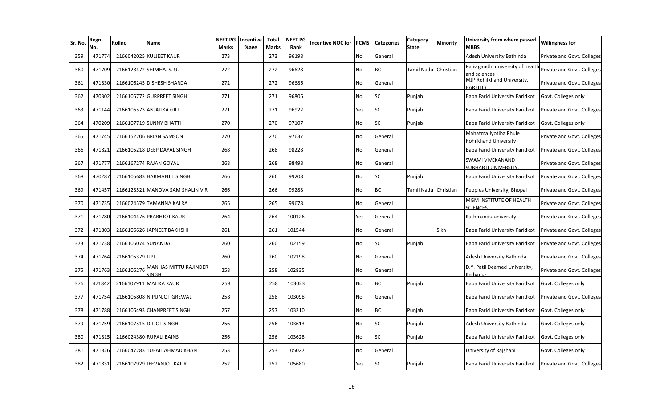| Sr. No. | Regn   | Rollno             | Name                             | NEET PG<br>Marks | Incentive<br>%age | <b>Total</b><br><b>Marks</b> | <b>NEET PG</b><br>Rank | <b>Incentive NOC for</b> | PCMS | <b>Categories</b> | Category<br>State | Minority  | University from where passed<br><b>MBBS</b>       | <b>Willingness for</b>     |
|---------|--------|--------------------|----------------------------------|------------------|-------------------|------------------------------|------------------------|--------------------------|------|-------------------|-------------------|-----------|---------------------------------------------------|----------------------------|
| 359     | 471774 |                    | 2166042025 KULJEET KAUR          | 273              |                   | 273                          | 96198                  |                          | No   | General           |                   |           | Adesh University Bathinda                         | Private and Govt. Colleges |
| 360     | 471709 |                    | 2166128472 SHIMHA. S. U.         | 272              |                   | 272                          | 96628                  |                          | No   | <b>BC</b>         | Tamil Nadu        | Christian | Rajiv gandhi university of health<br>and sciences | Private and Govt. Colleges |
| 361     | 471830 |                    | 2166106245 DISHESH SHARDA        | 272              |                   | 272                          | 96686                  |                          | No   | General           |                   |           | MJP Rohilkhand University,<br><b>BARFILLY</b>     | Private and Govt. Colleges |
| 362     | 470302 |                    | 2166105772 GURPREET SINGH        | 271              |                   | 271                          | 96806                  |                          | No   | <b>SC</b>         | Punjab            |           | Baba Farid University Faridkot                    | Govt. Colleges only        |
| 363     | 471144 |                    | 2166106573 ANJALIKA GILL         | 271              |                   | 271                          | 96922                  |                          | Yes  | <b>SC</b>         | Punjab            |           | Baba Farid University Faridkot                    | Private and Govt. Colleges |
| 364     | 470209 |                    | 2166107719 SUNNY BHATTI          | 270              |                   | 270                          | 97107                  |                          | No   | <b>SC</b>         | Punjab            |           | Baba Farid University Faridkot                    | Govt. Colleges only        |
| 365     | 471745 |                    | 2166152206 BRIAN SAMSON          | 270              |                   | 270                          | 97637                  |                          | No   | General           |                   |           | Mahatma Jyotiba Phule<br>Rohilkhand University    | Private and Govt. Colleges |
| 366     | 471821 |                    | 2166105218 DEEP DAYAL SINGH      | 268              |                   | 268                          | 98228                  |                          | No   | General           |                   |           | Baba Farid University Faridkot                    | Private and Govt. Colleges |
| 367     | 471777 |                    | 2166167274 RAJAN GOYAL           | 268              |                   | 268                          | 98498                  |                          | No   | General           |                   |           | <b>SWAMI VIVEKANAND</b><br>SUBHARTI UNIVERSITY.   | Private and Govt. Colleges |
| 368     | 470287 |                    | 2166106683 HARMANJIT SINGH       | 266              |                   | 266                          | 99208                  |                          | No   | <b>SC</b>         | Punjab            |           | Baba Farid University Faridkot                    | Private and Govt. Colleges |
| 369     | 471457 |                    | 2166128521 MANOVA SAM SHALIN V R | 266              |                   | 266                          | 99288                  |                          | No   | <b>BC</b>         | Tamil Nadu        | Christian | Peoples University, Bhopal                        | Private and Govt. Colleges |
| 370     | 471735 |                    | 2166024579 TAMANNA KALRA         | 265              |                   | 265                          | 99678                  |                          | No   | General           |                   |           | MGM INSTITUTE OF HEALTH<br><b>SCIENCES</b>        | Private and Govt. Colleges |
| 371     | 471780 |                    | 2166104476 PRABHJOT KAUR         | 264              |                   | 264                          | 100126                 |                          | Yes  | General           |                   |           | Kathmandu university                              | Private and Govt. Colleges |
| 372     | 471803 |                    | 2166106626 JAPNEET BAKHSHI       | 261              |                   | 261                          | 101544                 |                          | No   | General           |                   | Sikh      | Baba Farid University Faridkot                    | Private and Govt. Colleges |
| 373     | 471738 | 2166106074 SUNANDA |                                  | 260              |                   | 260                          | 102159                 |                          | No   | <b>SC</b>         | Punjab            |           | Baba Farid University Faridkot                    | Private and Govt. Colleges |
| 374     | 471764 | 2166105379 LIPI    |                                  | 260              |                   | 260                          | 102198                 |                          | No   | General           |                   |           | Adesh University Bathinda                         | Private and Govt. Colleges |
| 375     | 471763 | 2166106276         | MANHAS MITTU RAJINDER<br>SINGH   | 258              |                   | 258                          | 102835                 |                          | No   | General           |                   |           | D.Y. Patil Deemed University,<br>Kolhapur         | Private and Govt. Colleges |
| 376     | 471842 |                    | 2166107911 MALIKA KAUR           | 258              |                   | 258                          | 103023                 |                          | No   | <b>BC</b>         | Punjab            |           | Baba Farid University Faridkot                    | Govt. Colleges only        |
| 377     | 471754 |                    | 2166105808 NIPUNJOT GREWAL       | 258              |                   | 258                          | 103098                 |                          | No   | General           |                   |           | Baba Farid University Faridkot                    | Private and Govt. Colleges |
| 378     | 471788 |                    | 2166106493 CHANPREET SINGH       | 257              |                   | 257                          | 103210                 |                          | No   | <b>BC</b>         | Punjab            |           | Baba Farid University Faridkot                    | Govt. Colleges only        |
| 379     | 471759 |                    | 2166107515 DILJOT SINGH          | 256              |                   | 256                          | 103613                 |                          | No   | <b>SC</b>         | Punjab            |           | Adesh University Bathinda                         | Govt. Colleges only        |
| 380     | 471815 |                    | 2166024380 RUPALI BAINS          | 256              |                   | 256                          | 103628                 |                          | No   | <b>SC</b>         | Punjab            |           | Baba Farid University Faridkot                    | Govt. Colleges only        |
| 381     | 471826 |                    | 2166047283 TUFAIL AHMAD KHAN     | 253              |                   | 253                          | 105027                 |                          | No   | General           |                   |           | University of Rajshahi                            | Govt. Colleges only        |
| 382     | 471831 |                    | 2166107929 JEEVANJOT KAUR        | 252              |                   | 252                          | 105680                 |                          | Yes  | <b>SC</b>         | Punjab            |           | Baba Farid University Faridkot                    | Private and Govt. Colleges |